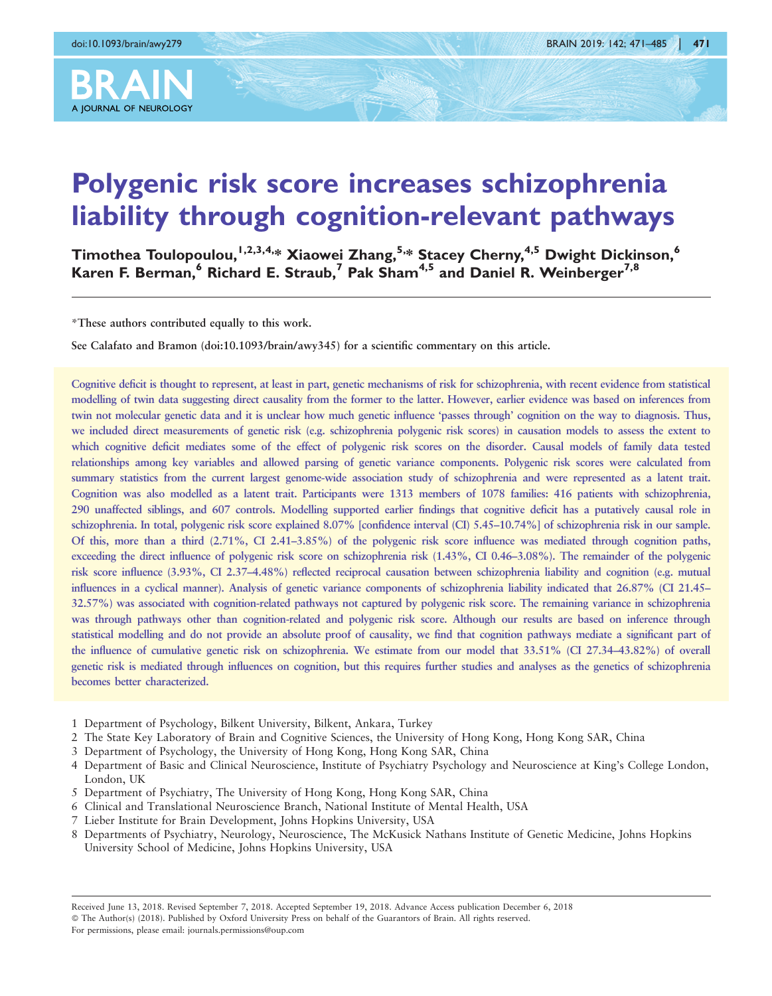

# Polygenic risk score increases schizophrenia liability through cognition-relevant pathways

Timothea Toulopoulou,  $1,2,3,4,*$  Xiaowei Zhang,  $5,*$  Stacey Cherny,  $4,5$  Dwight Dickinson,  $6$ Karen F. Berman,<sup>6</sup> Richard E. Straub,<sup>7</sup> Pak Sham<sup>4,5</sup> and Daniel R. Weinberger<sup>7,8</sup>

\*These authors contributed equally to this work.

See Calafato and Bramon (doi:10.1093/brain/awy345) for a scientific commentary on this article.

Cognitive deficit is thought to represent, at least in part, genetic mechanisms of risk for schizophrenia, with recent evidence from statistical modelling of twin data suggesting direct causality from the former to the latter. However, earlier evidence was based on inferences from twin not molecular genetic data and it is unclear how much genetic influence 'passes through' cognition on the way to diagnosis. Thus, we included direct measurements of genetic risk (e.g. schizophrenia polygenic risk scores) in causation models to assess the extent to which cognitive deficit mediates some of the effect of polygenic risk scores on the disorder. Causal models of family data tested relationships among key variables and allowed parsing of genetic variance components. Polygenic risk scores were calculated from summary statistics from the current largest genome-wide association study of schizophrenia and were represented as a latent trait. Cognition was also modelled as a latent trait. Participants were 1313 members of 1078 families: 416 patients with schizophrenia, 290 unaffected siblings, and 607 controls. Modelling supported earlier findings that cognitive deficit has a putatively causal role in schizophrenia. In total, polygenic risk score explained 8.07% [confidence interval (CI) 5.45–10.74%] of schizophrenia risk in our sample. Of this, more than a third (2.71%, CI 2.41–3.85%) of the polygenic risk score influence was mediated through cognition paths, exceeding the direct influence of polygenic risk score on schizophrenia risk (1.43%, CI 0.46–3.08%). The remainder of the polygenic risk score influence (3.93%, CI 2.37–4.48%) reflected reciprocal causation between schizophrenia liability and cognition (e.g. mutual influences in a cyclical manner). Analysis of genetic variance components of schizophrenia liability indicated that 26.87% (CI 21.45– 32.57%) was associated with cognition-related pathways not captured by polygenic risk score. The remaining variance in schizophrenia was through pathways other than cognition-related and polygenic risk score. Although our results are based on inference through statistical modelling and do not provide an absolute proof of causality, we find that cognition pathways mediate a significant part of the influence of cumulative genetic risk on schizophrenia. We estimate from our model that 33.51% (CI 27.34–43.82%) of overall genetic risk is mediated through influences on cognition, but this requires further studies and analyses as the genetics of schizophrenia becomes better characterized.

- 1 Department of Psychology, Bilkent University, Bilkent, Ankara, Turkey
- 2 The State Key Laboratory of Brain and Cognitive Sciences, the University of Hong Kong, Hong Kong SAR, China
- 3 Department of Psychology, the University of Hong Kong, Hong Kong SAR, China
- 4 Department of Basic and Clinical Neuroscience, Institute of Psychiatry Psychology and Neuroscience at King's College London, London, UK
- 5 Department of Psychiatry, The University of Hong Kong, Hong Kong SAR, China
- 6 Clinical and Translational Neuroscience Branch, National Institute of Mental Health, USA
- 7 Lieber Institute for Brain Development, Johns Hopkins University, USA
- 8 Departments of Psychiatry, Neurology, Neuroscience, The McKusick Nathans Institute of Genetic Medicine, Johns Hopkins University School of Medicine, Johns Hopkins University, USA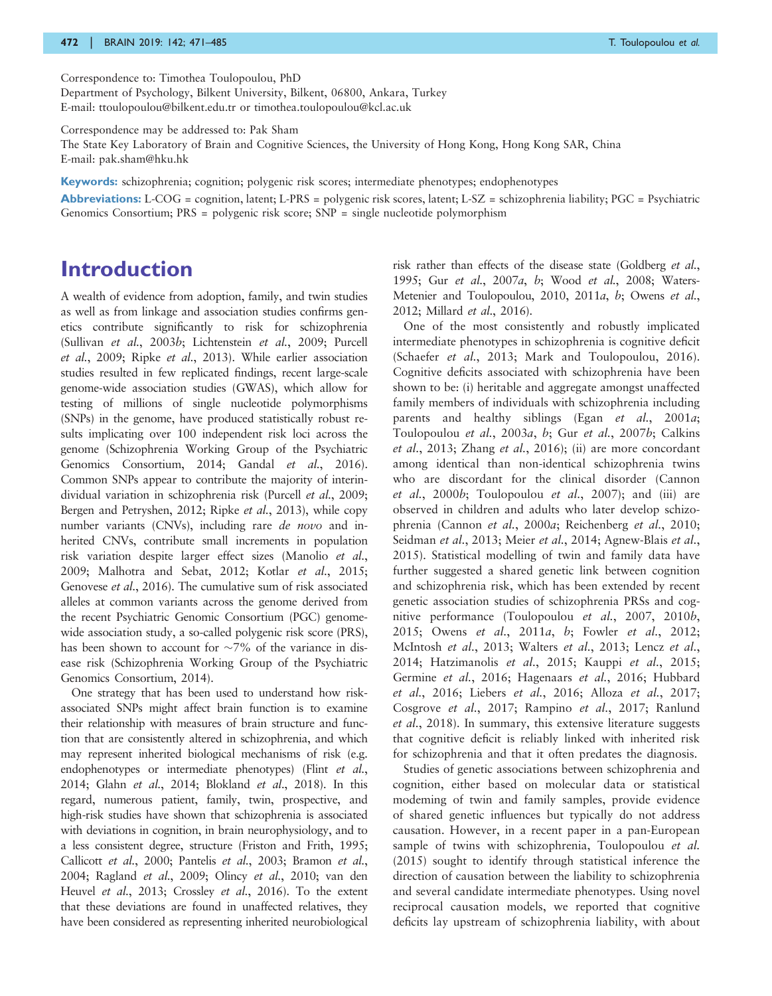#### 472 | BRAIN 2019: 142; 471–485 T. Toulopoulou et al.

Correspondence to: Timothea Toulopoulou, PhD

Department of Psychology, Bilkent University, Bilkent, 06800, Ankara, Turkey E-mail: ttoulopoulou@bilkent.edu.tr or timothea.toulopoulou@kcl.ac.uk

Correspondence may be addressed to: Pak Sham

The State Key Laboratory of Brain and Cognitive Sciences, the University of Hong Kong, Hong Kong SAR, China E-mail: pak.sham@hku.hk

Keywords: schizophrenia; cognition; polygenic risk scores; intermediate phenotypes; endophenotypes

Abbreviations: L-COG = cognition, latent; L-PRS = polygenic risk scores, latent; L-SZ = schizophrenia liability; PGC = Psychiatric Genomics Consortium; PRS = polygenic risk score; SNP = single nucleotide polymorphism

### Introduction

A wealth of evidence from adoption, family, and twin studies as well as from linkage and association studies confirms genetics contribute significantly to risk for schizophrenia [\(Sullivan](#page-13-0) et al., 2003b; [Lichtenstein](#page-13-0) et al., 2009; [Purcell](#page-13-0) et al.[, 2009](#page-13-0); Ripke et al.[, 2013](#page-13-0)). While earlier association studies resulted in few replicated findings, recent large-scale genome-wide association studies (GWAS), which allow for testing of millions of single nucleotide polymorphisms (SNPs) in the genome, have produced statistically robust results implicating over 100 independent risk loci across the genome [\(Schizophrenia Working Group of the Psychiatric](#page-13-0) [Genomics Consortium, 2014;](#page-13-0) Gandal et al.[, 2016\)](#page-12-0). Common SNPs appear to contribute the majority of interin-dividual variation in schizophrenia risk (Purcell et al.[, 2009;](#page-13-0) [Bergen and Petryshen, 2012;](#page-12-0) Ripke et al.[, 2013\)](#page-13-0), while copy number variants (CNVs), including rare de novo and inherited CNVs, contribute small increments in population risk variation despite larger effect sizes ([Manolio](#page-13-0) et al., [2009](#page-13-0); [Malhotra and Sebat, 2012](#page-13-0); Kotlar et al.[, 2015;](#page-13-0) [Genovese](#page-12-0) et al., 2016). The cumulative sum of risk associated alleles at common variants across the genome derived from the recent Psychiatric Genomic Consortium (PGC) genomewide association study, a so-called polygenic risk score (PRS), has been shown to account for  $\sim$ 7% of the variance in disease risk [\(Schizophrenia Working Group of the Psychiatric](#page-13-0) [Genomics Consortium, 2014](#page-13-0)).

One strategy that has been used to understand how riskassociated SNPs might affect brain function is to examine their relationship with measures of brain structure and function that are consistently altered in schizophrenia, and which may represent inherited biological mechanisms of risk (e.g. endophenotypes or intermediate phenotypes) (Flint [et al.](#page-12-0), [2014](#page-12-0); Glahn et al.[, 2014; Blokland](#page-12-0) et al., 2018). In this regard, numerous patient, family, twin, prospective, and high-risk studies have shown that schizophrenia is associated with deviations in cognition, in brain neurophysiology, and to a less consistent degree, structure [\(Friston and Frith, 1995;](#page-12-0) [Callicott](#page-12-0) et al., 2000; [Pantelis](#page-13-0) et al., 2003; [Bramon](#page-12-0) et al., [2004](#page-12-0); [Ragland](#page-13-0) et al., 2009; Olincy et al.[, 2010;](#page-13-0) [van den](#page-14-0) Heuvel et al.[, 2013;](#page-14-0) [Crossley](#page-12-0) et al., 2016). To the extent that these deviations are found in unaffected relatives, they have been considered as representing inherited neurobiological

risk rather than effects of the disease state [\(Goldberg](#page-12-0) *et al.*, [1995](#page-12-0); Gur et al.[, 2007](#page-12-0)a, b; Wood et al.[, 2008](#page-14-0); [Waters-](#page-14-0)[Metenier and Toulopoulou, 2010](#page-14-0), [2011](#page-14-0)a, [b](#page-13-0); [Owens](#page-13-0) et al., [2012](#page-13-0); [Millard](#page-13-0) et al., 2016).

One of the most consistently and robustly implicated intermediate phenotypes in schizophrenia is cognitive deficit [\(Schaefer](#page-13-0) et al., 2013; [Mark and Toulopoulou, 2016](#page-13-0)). Cognitive deficits associated with schizophrenia have been shown to be: (i) heritable and aggregate amongst unaffected family members of individuals with schizophrenia including parents and healthy siblings (Egan et al.[, 2001](#page-12-0)a; [Toulopoulou](#page-13-0) et al., 2003a, [b](#page-13-0); Gur et al.[, 2007](#page-12-0)b; [Calkins](#page-12-0) et al.[, 2013](#page-12-0); Zhang et al.[, 2016\)](#page-14-0); (ii) are more concordant among identical than non-identical schizophrenia twins who are discordant for the clinical disorder ([Cannon](#page-12-0)  $et \ al., 2000b; Toulopoulou et \ al., 2007); and (iii) are$  $et \ al., 2000b; Toulopoulou et \ al., 2007); and (iii) are$  $et \ al., 2000b; Toulopoulou et \ al., 2007); and (iii) are$  $et \ al., 2000b; Toulopoulou et \ al., 2007); and (iii) are$  $et \ al., 2000b; Toulopoulou et \ al., 2007); and (iii) are$ observed in children and adults who later develop schizophrenia [\(Cannon](#page-12-0) et al., 2000a; [Reichenberg](#page-13-0) et al., 2010; [Seidman](#page-13-0) et al., 2013; Meier et al.[, 2014;](#page-13-0) [Agnew-Blais](#page-12-0) et al., [2015\)](#page-12-0). Statistical modelling of twin and family data have further suggested a shared genetic link between cognition and schizophrenia risk, which has been extended by recent genetic association studies of schizophrenia PRSs and cog-nitive performance ([Toulopoulou](#page-13-0) et al., 2007, [2010](#page-13-0)b, [2015;](#page-14-0) Owens et al.[, 2011](#page-13-0)a, [b](#page-13-0); Fowler et al.[, 2012](#page-12-0); [McIntosh](#page-13-0) et al., 2013; [Walters](#page-14-0) et al., 2013; [Lencz](#page-13-0) et al., [2014;](#page-13-0) [Hatzimanolis](#page-12-0) et al., 2015; [Kauppi](#page-13-0) et al., 2015; [Germine](#page-12-0) et al., 2016; [Hagenaars](#page-12-0) et al., 2016; [Hubbard](#page-13-0) et al.[, 2016](#page-13-0); Liebers et al.[, 2016;](#page-13-0) Alloza et al.[, 2017](#page-12-0); [Cosgrove](#page-12-0) et al., 2017; [Rampino](#page-13-0) et al., 2017; [Ranlund](#page-13-0) et al.[, 2018\)](#page-13-0). In summary, this extensive literature suggests that cognitive deficit is reliably linked with inherited risk for schizophrenia and that it often predates the diagnosis.

Studies of genetic associations between schizophrenia and cognition, either based on molecular data or statistical modeming of twin and family samples, provide evidence of shared genetic influences but typically do not address causation. However, in a recent paper in a pan-European sample of twins with schizophrenia, [Toulopoulou](#page-14-0) et al. [\(2015\)](#page-14-0) sought to identify through statistical inference the direction of causation between the liability to schizophrenia and several candidate intermediate phenotypes. Using novel reciprocal causation models, we reported that cognitive deficits lay upstream of schizophrenia liability, with about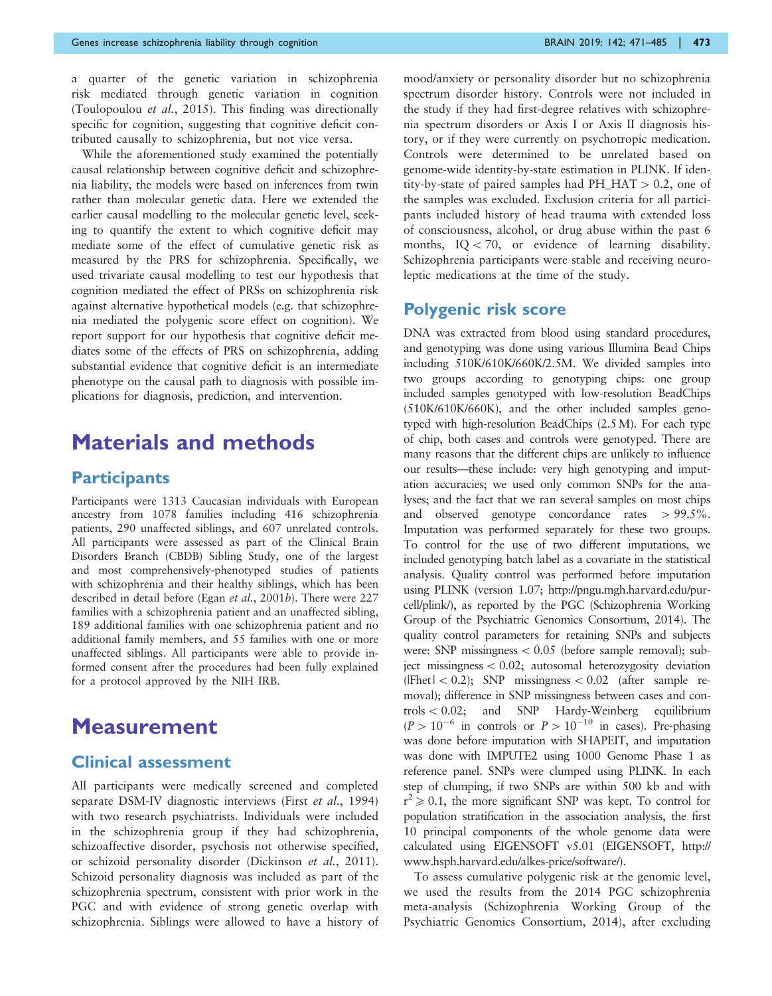a quarter of the genetic variation in schizophrenia risk mediated through genetic variation in cognition ([Toulopoulou](#page-14-0) et al., 2015). This finding was directionally specific for cognition, suggesting that cognitive deficit contributed causally to schizophrenia, but not vice versa.

While the aforementioned study examined the potentially causal relationship between cognitive deficit and schizophrenia liability, the models were based on inferences from twin rather than molecular genetic data. Here we extended the earlier causal modelling to the molecular genetic level, seeking to quantify the extent to which cognitive deficit may mediate some of the effect of cumulative genetic risk as measured by the PRS for schizophrenia. Specifically, we used trivariate causal modelling to test our hypothesis that cognition mediated the effect of PRSs on schizophrenia risk against alternative hypothetical models (e.g. that schizophrenia mediated the polygenic score effect on cognition). We report support for our hypothesis that cognitive deficit mediates some of the effects of PRS on schizophrenia, adding substantial evidence that cognitive deficit is an intermediate phenotype on the causal path to diagnosis with possible implications for diagnosis, prediction, and intervention.

# Materials and methods

#### **Participants**

Participants were 1313 Caucasian individuals with European ancestry from 1078 families including 416 schizophrenia patients, 290 unaffected siblings, and 607 unrelated controls. All participants were assessed as part of the Clinical Brain Disorders Branch (CBDB) Sibling Study, one of the largest and most comprehensively-phenotyped studies of patients with schizophrenia and their healthy siblings, which has been described in detail before (Egan et al.[, 2001](#page-12-0)b). There were 227 families with a schizophrenia patient and an unaffected sibling, 189 additional families with one schizophrenia patient and no additional family members, and 55 families with one or more unaffected siblings. All participants were able to provide informed consent after the procedures had been fully explained for a protocol approved by the NIH IRB.

## Measurement

#### Clinical assessment

All participants were medically screened and completed separate DSM-IV diagnostic interviews (First et al.[, 1994\)](#page-12-0) with two research psychiatrists. Individuals were included in the schizophrenia group if they had schizophrenia, schizoaffective disorder, psychosis not otherwise specified, or schizoid personality disorder ([Dickinson](#page-12-0) et al., 2011). Schizoid personality diagnosis was included as part of the schizophrenia spectrum, consistent with prior work in the PGC and with evidence of strong genetic overlap with schizophrenia. Siblings were allowed to have a history of mood/anxiety or personality disorder but no schizophrenia spectrum disorder history. Controls were not included in the study if they had first-degree relatives with schizophrenia spectrum disorders or Axis I or Axis II diagnosis history, or if they were currently on psychotropic medication. Controls were determined to be unrelated based on genome-wide identity-by-state estimation in PLINK. If identity-by-state of paired samples had  $PH_HAT > 0.2$ , one of the samples was excluded. Exclusion criteria for all participants included history of head trauma with extended loss of consciousness, alcohol, or drug abuse within the past 6 months,  $IQ < 70$ , or evidence of learning disability. Schizophrenia participants were stable and receiving neuroleptic medications at the time of the study.

#### Polygenic risk score

DNA was extracted from blood using standard procedures, and genotyping was done using various Illumina Bead Chips including 510K/610K/660K/2.5M. We divided samples into two groups according to genotyping chips: one group included samples genotyped with low-resolution BeadChips (510K/610K/660K), and the other included samples genotyped with high-resolution BeadChips (2.5M). For each type of chip, both cases and controls were genotyped. There are many reasons that the different chips are unlikely to influence our results—these include: very high genotyping and imputation accuracies; we used only common SNPs for the analyses; and the fact that we ran several samples on most chips and observed genotype concordance rates  $> 99.5\%$ . Imputation was performed separately for these two groups. To control for the use of two different imputations, we included genotyping batch label as a covariate in the statistical analysis. Quality control was performed before imputation using PLINK (version 1.07; [http://pngu.mgh.harvard.edu/pur](http://pngu.mgh.harvard.edu/purcell/plink/)[cell/plink/](http://pngu.mgh.harvard.edu/purcell/plink/)), as reported by the PGC [\(Schizophrenia Working](#page-13-0) [Group of the Psychiatric Genomics Consortium, 2014](#page-13-0)). The quality control parameters for retaining SNPs and subjects were: SNP missingness  $< 0.05$  (before sample removal); subject missingness  $< 0.02$ ; autosomal heterozygosity deviation  $(|Fhet|< 0.2)$ ; SNP missingness  $< 0.02$  (after sample removal); difference in SNP missingness between cases and con $trols < 0.02$ ; and SNP Hardy-Weinberg equilibrium  $(P>10^{-6}$  in controls or  $P>10^{-10}$  in cases). Pre-phasing was done before imputation with SHAPEIT, and imputation was done with IMPUTE2 using 1000 Genome Phase 1 as reference panel. SNPs were clumped using PLINK. In each step of clumping, if two SNPs are within 500 kb and with  $r^2 \geqslant 0.1$ , the more significant SNP was kept. To control for population stratification in the association analysis, the first 10 principal components of the whole genome data were calculated using EIGENSOFT v5.01 (EIGENSOFT, [http://](http://www.hsph.harvard.edu/alkes-price/software/) [www.hsph.harvard.edu/alkes-price/software/\)](http://www.hsph.harvard.edu/alkes-price/software/).

To assess cumulative polygenic risk at the genomic level, we used the results from the 2014 PGC schizophrenia meta-analysis [\(Schizophrenia Working Group of the](#page-13-0) [Psychiatric Genomics Consortium, 2014](#page-13-0)), after excluding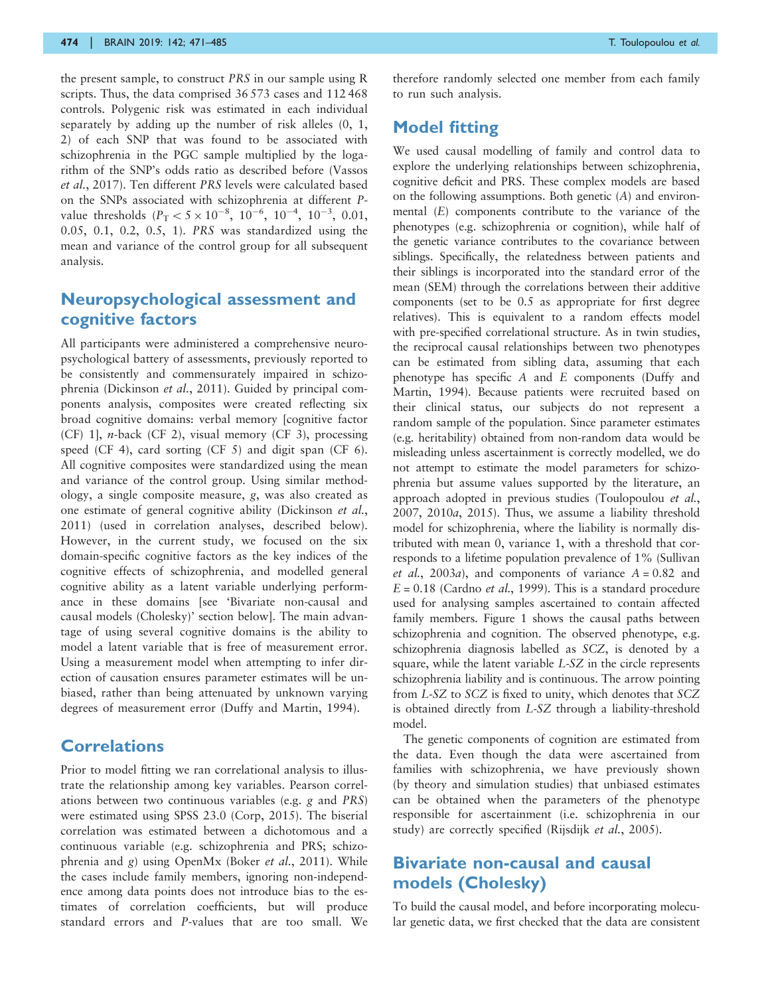the present sample, to construct PRS in our sample using R scripts. Thus, the data comprised 36 573 cases and 112 468 controls. Polygenic risk was estimated in each individual separately by adding up the number of risk alleles (0, 1, 2) of each SNP that was found to be associated with schizophrenia in the PGC sample multiplied by the logarithm of the SNP's odds ratio as described before [\(Vassos](#page-14-0) et al.[, 2017\)](#page-14-0). Ten different PRS levels were calculated based on the SNPs associated with schizophrenia at different Pvalue thresholds  $(P_T < 5 \times 10^{-8}, 10^{-6}, 10^{-4}, 10^{-3}, 0.01,$ 0.05, 0.1, 0.2, 0.5, 1). PRS was standardized using the mean and variance of the control group for all subsequent analysis.

#### Neuropsychological assessment and cognitive factors

All participants were administered a comprehensive neuropsychological battery of assessments, previously reported to be consistently and commensurately impaired in schizophrenia [\(Dickinson](#page-12-0) et al., 2011). Guided by principal components analysis, composites were created reflecting six broad cognitive domains: verbal memory [cognitive factor (CF) 1], *n*-back (CF 2), visual memory (CF 3), processing speed (CF 4), card sorting (CF 5) and digit span (CF 6). All cognitive composites were standardized using the mean and variance of the control group. Using similar methodology, a single composite measure, g, was also created as one estimate of general cognitive ability [\(Dickinson](#page-12-0) et al., [2011](#page-12-0)) (used in correlation analyses, described below). However, in the current study, we focused on the six domain-specific cognitive factors as the key indices of the cognitive effects of schizophrenia, and modelled general cognitive ability as a latent variable underlying performance in these domains [see 'Bivariate non-causal and causal models (Cholesky)' section below]. The main advantage of using several cognitive domains is the ability to model a latent variable that is free of measurement error. Using a measurement model when attempting to infer direction of causation ensures parameter estimates will be unbiased, rather than being attenuated by unknown varying degrees of measurement error [\(Duffy and Martin, 1994](#page-12-0)).

#### **Correlations**

Prior to model fitting we ran correlational analysis to illustrate the relationship among key variables. Pearson correlations between two continuous variables (e.g. g and PRS) were estimated using SPSS 23.0 [\(Corp, 2015](#page-12-0)). The biserial correlation was estimated between a dichotomous and a continuous variable (e.g. schizophrenia and PRS; schizo-phrenia and g) using OpenMx (Boker et al.[, 2011\)](#page-12-0). While the cases include family members, ignoring non-independence among data points does not introduce bias to the estimates of correlation coefficients, but will produce standard errors and P-values that are too small. We therefore randomly selected one member from each family to run such analysis.

#### Model fitting

We used causal modelling of family and control data to explore the underlying relationships between schizophrenia, cognitive deficit and PRS. These complex models are based on the following assumptions. Both genetic (A) and environmental (E) components contribute to the variance of the phenotypes (e.g. schizophrenia or cognition), while half of the genetic variance contributes to the covariance between siblings. Specifically, the relatedness between patients and their siblings is incorporated into the standard error of the mean (SEM) through the correlations between their additive components (set to be 0.5 as appropriate for first degree relatives). This is equivalent to a random effects model with pre-specified correlational structure. As in twin studies, the reciprocal causal relationships between two phenotypes can be estimated from sibling data, assuming that each phenotype has specific A and E components ([Duffy and](#page-12-0) [Martin, 1994\)](#page-12-0). Because patients were recruited based on their clinical status, our subjects do not represent a random sample of the population. Since parameter estimates (e.g. heritability) obtained from non-random data would be misleading unless ascertainment is correctly modelled, we do not attempt to estimate the model parameters for schizophrenia but assume values supported by the literature, an approach adopted in previous studies ([Toulopoulou](#page-13-0) et al., [2007, 2010](#page-13-0)a, [2015\)](#page-14-0). Thus, we assume a liability threshold model for schizophrenia, where the liability is normally distributed with mean 0, variance 1, with a threshold that corresponds to a lifetime population prevalence of 1% [\(Sullivan](#page-13-0) *et al.*[, 2003](#page-13-0)*a*), and components of variance  $A = 0.82$  and  $E = 0.18$  [\(Cardno](#page-12-0) *et al.*, 1999). This is a standard procedure used for analysing samples ascertained to contain affected family members. [Figure 1](#page-4-0) shows the causal paths between schizophrenia and cognition. The observed phenotype, e.g. schizophrenia diagnosis labelled as SCZ, is denoted by a square, while the latent variable L-SZ in the circle represents schizophrenia liability and is continuous. The arrow pointing from L-SZ to SCZ is fixed to unity, which denotes that SCZ is obtained directly from L-SZ through a liability-threshold model.

The genetic components of cognition are estimated from the data. Even though the data were ascertained from families with schizophrenia, we have previously shown (by theory and simulation studies) that unbiased estimates can be obtained when the parameters of the phenotype responsible for ascertainment (i.e. schizophrenia in our study) are correctly specified [\(Rijsdijk](#page-13-0) *et al.*, 2005).

#### Bivariate non-causal and causal models (Cholesky)

To build the causal model, and before incorporating molecular genetic data, we first checked that the data are consistent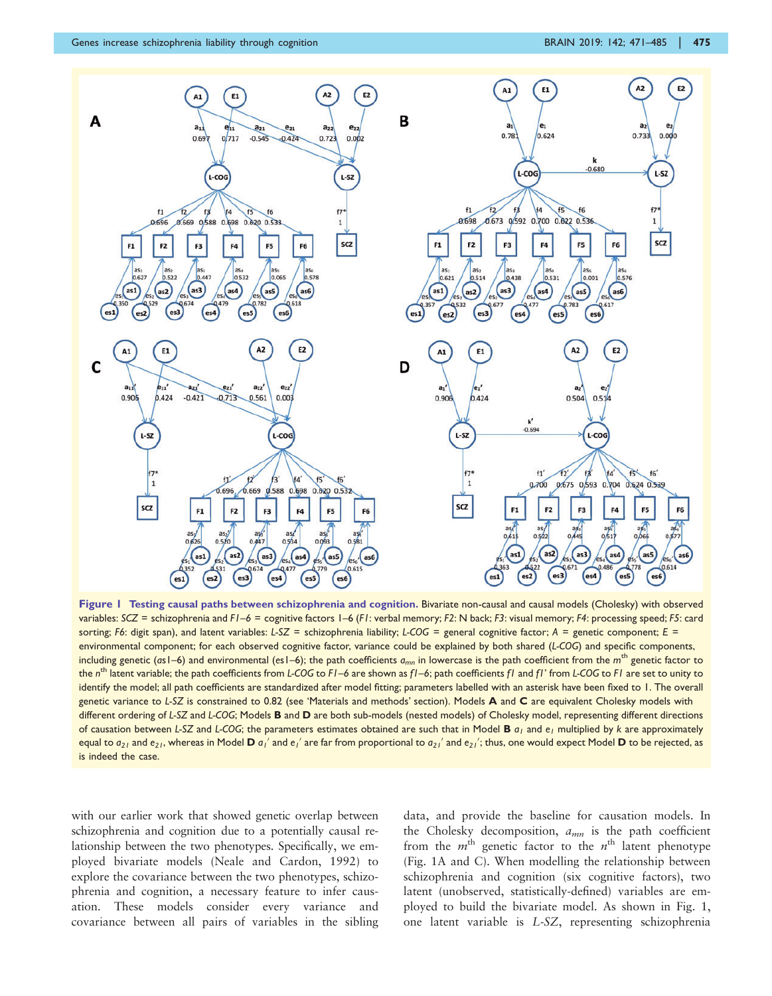<span id="page-4-0"></span>

Figure 1 Testing causal paths between schizophrenia and cognition. Bivariate non-causal and causal models (Cholesky) with observed variables: SCZ = schizophrenia and FI-6 = cognitive factors I-6 (FI: verbal memory; F2: N back; F3: visual memory; F4: processing speed; F5: card sorting; F6: digit span), and latent variables: L-SZ = schizophrenia liability; L-COG = general cognitive factor; A = genetic component; E = environmental component; for each observed cognitive factor, variance could be explained by both shared (L-COG) and specific components, including genetic (as1–6) and environmental (es1–6); the path coefficients  $a_{mn}$  in lowercase is the path coefficient from the m<sup>th</sup> genetic factor to the n<sup>th</sup> latent variable; the path coefficients from L-COG to F1–6 are shown as  $f1-6$ ; path coefficients f1 and f1' from L-COG to F1 are set to unity to identify the model; all path coefficients are standardized after model fitting; parameters labelled with an asterisk have been fixed to 1. The overall genetic variance to L-SZ is constrained to 0.82 (see 'Materials and methods' section). Models A and C are equivalent Cholesky models with different ordering of L-SZ and L-COG; Models **B** and **D** are both sub-models (nested models) of Cholesky model, representing different directions of causation between L-SZ and L-COG; the parameters estimates obtained are such that in Model **B**  $a_1$  and  $e_1$  multiplied by k are approximately equal to  $a_{21}$  and  $e_{21}$ , whereas in Model **D**  $a_1'$  and  $e_1'$  are far from proportional to  $a_{21}'$  and  $e_{21}'$ ; thus, one would expect Model **D** to be rejected, as is indeed the case.

with our earlier work that showed genetic overlap between schizophrenia and cognition due to a potentially causal relationship between the two phenotypes. Specifically, we employed bivariate models [\(Neale and Cardon, 1992\)](#page-13-0) to explore the covariance between the two phenotypes, schizophrenia and cognition, a necessary feature to infer causation. These models consider every variance and covariance between all pairs of variables in the sibling data, and provide the baseline for causation models. In the Cholesky decomposition,  $a_{mn}$  is the path coefficient from the  $m<sup>th</sup>$  genetic factor to the  $n<sup>th</sup>$  latent phenotype (Fig. 1A and C). When modelling the relationship between schizophrenia and cognition (six cognitive factors), two latent (unobserved, statistically-defined) variables are employed to build the bivariate model. As shown in Fig. 1, one latent variable is L-SZ, representing schizophrenia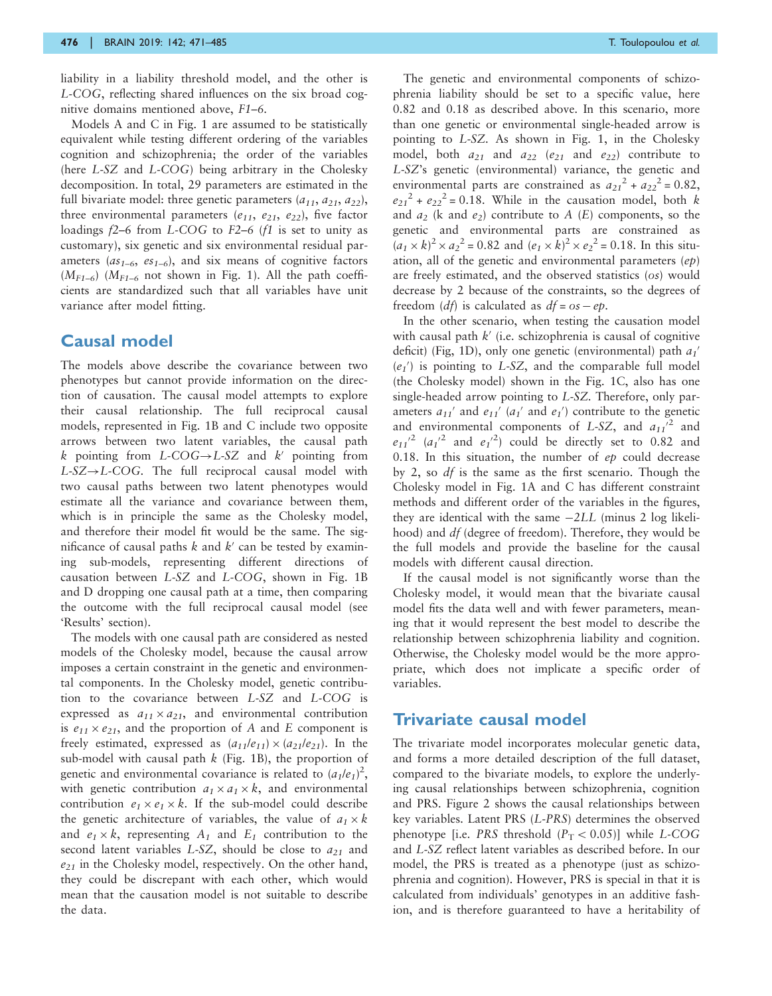liability in a liability threshold model, and the other is L-COG, reflecting shared influences on the six broad cognitive domains mentioned above, F1–6.

Models A and C in [Fig. 1](#page-4-0) are assumed to be statistically equivalent while testing different ordering of the variables cognition and schizophrenia; the order of the variables (here L-SZ and L-COG) being arbitrary in the Cholesky decomposition. In total, 29 parameters are estimated in the full bivariate model: three genetic parameters  $(a_{11}, a_{21}, a_{22})$ , three environmental parameters  $(e_{11}, e_{21}, e_{22})$ , five factor loadings  $f2-6$  from L-COG to  $F2-6$  ( $f1$  is set to unity as customary), six genetic and six environmental residual parameters ( $as_{1-6}$ ,  $es_{1-6}$ ), and six means of cognitive factors  $(M_{F1-6})$  ( $M_{F1-6}$  not shown in [Fig. 1](#page-4-0)). All the path coefficients are standardized such that all variables have unit variance after model fitting.

#### Causal model

The models above describe the covariance between two phenotypes but cannot provide information on the direction of causation. The causal model attempts to explore their causal relationship. The full reciprocal causal models, represented in [Fig. 1B](#page-4-0) and C include two opposite arrows between two latent variables, the causal path k pointing from L-COG $\rightarrow$ L-SZ and k' pointing from  $L-SZ \rightarrow L-COG$ . The full reciprocal causal model with two causal paths between two latent phenotypes would estimate all the variance and covariance between them, which is in principle the same as the Cholesky model, and therefore their model fit would be the same. The significance of causal paths  $k$  and  $k'$  can be tested by examining sub-models, representing different directions of causation between L-SZ and L-COG, shown in [Fig. 1](#page-4-0)B and D dropping one causal path at a time, then comparing the outcome with the full reciprocal causal model (see 'Results' section).

The models with one causal path are considered as nested models of the Cholesky model, because the causal arrow imposes a certain constraint in the genetic and environmental components. In the Cholesky model, genetic contribution to the covariance between L-SZ and L-COG is expressed as  $a_{11} \times a_{21}$ , and environmental contribution is  $e_{11} \times e_{21}$ , and the proportion of A and E component is freely estimated, expressed as  $(a_{11}/e_{11}) \times (a_{21}/e_{21})$ . In the sub-model with causal path  $k$  ([Fig. 1B](#page-4-0)), the proportion of genetic and environmental covariance is related to  $(a_1/e_1)^2$ , with genetic contribution  $a_1 \times a_1 \times k$ , and environmental contribution  $e_1 \times e_1 \times k$ . If the sub-model could describe the genetic architecture of variables, the value of  $a_1 \times k$ and  $e_1 \times k$ , representing  $A_1$  and  $E_1$  contribution to the second latent variables L-SZ, should be close to  $a_{21}$  and  $e_{21}$  in the Cholesky model, respectively. On the other hand, they could be discrepant with each other, which would mean that the causation model is not suitable to describe the data.

The genetic and environmental components of schizophrenia liability should be set to a specific value, here 0.82 and 0.18 as described above. In this scenario, more than one genetic or environmental single-headed arrow is pointing to L-SZ. As shown in [Fig. 1,](#page-4-0) in the Cholesky model, both  $a_{21}$  and  $a_{22}$  (e<sub>21</sub> and e<sub>22</sub>) contribute to L-SZ's genetic (environmental) variance, the genetic and environmental parts are constrained as  $a_{21}^2 + a_{22}^2 = 0.82$ ,  $e_{21}^2 + e_{22}^2 = 0.18$ . While in the causation model, both k and  $a_2$  (k and  $e_2$ ) contribute to A (E) components, so the genetic and environmental parts are constrained as  $(a_1 \times k)^2 \times a_2^2 = 0.82$  and  $(e_1 \times k)^2 \times e_2^2 = 0.18$ . In this situation, all of the genetic and environmental parameters  $(ep)$ are freely estimated, and the observed statistics (os) would decrease by 2 because of the constraints, so the degrees of freedom (*df*) is calculated as  $df = os - ep$ .

In the other scenario, when testing the causation model with causal path  $k'$  (i.e. schizophrenia is causal of cognitive deficit) (Fig, 1D), only one genetic (environmental) path  $a_1$ <sup>'</sup>  $(e_1)$  is pointing to L-SZ, and the comparable full model (the Cholesky model) shown in the [Fig. 1C](#page-4-0), also has one single-headed arrow pointing to L-SZ. Therefore, only parameters  $a_{11}$ ' and  $e_{11}$ ' ( $a_1$ ' and  $e_1$ ') contribute to the genetic and environmental components of L-SZ, and  $a_{11}^2$  and  $e_{11}$ <sup>2</sup> ( $a_1$ <sup>2</sup> and  $e_1$ <sup>2</sup>) could be directly set to 0.82 and 0.18. In this situation, the number of  $ep$  could decrease by 2, so df is the same as the first scenario. Though the Cholesky model in [Fig. 1A](#page-4-0) and C has different constraint methods and different order of the variables in the figures, they are identical with the same  $-2LL$  (minus 2 log likelihood) and df (degree of freedom). Therefore, they would be the full models and provide the baseline for the causal models with different causal direction.

If the causal model is not significantly worse than the Cholesky model, it would mean that the bivariate causal model fits the data well and with fewer parameters, meaning that it would represent the best model to describe the relationship between schizophrenia liability and cognition. Otherwise, the Cholesky model would be the more appropriate, which does not implicate a specific order of variables.

#### Trivariate causal model

The trivariate model incorporates molecular genetic data, and forms a more detailed description of the full dataset, compared to the bivariate models, to explore the underlying causal relationships between schizophrenia, cognition and PRS. [Figure 2](#page-6-0) shows the causal relationships between key variables. Latent PRS (L-PRS) determines the observed phenotype [i.e. PRS threshold  $(P_T < 0.05)$ ] while L-COG and L-SZ reflect latent variables as described before. In our model, the PRS is treated as a phenotype (just as schizophrenia and cognition). However, PRS is special in that it is calculated from individuals' genotypes in an additive fashion, and is therefore guaranteed to have a heritability of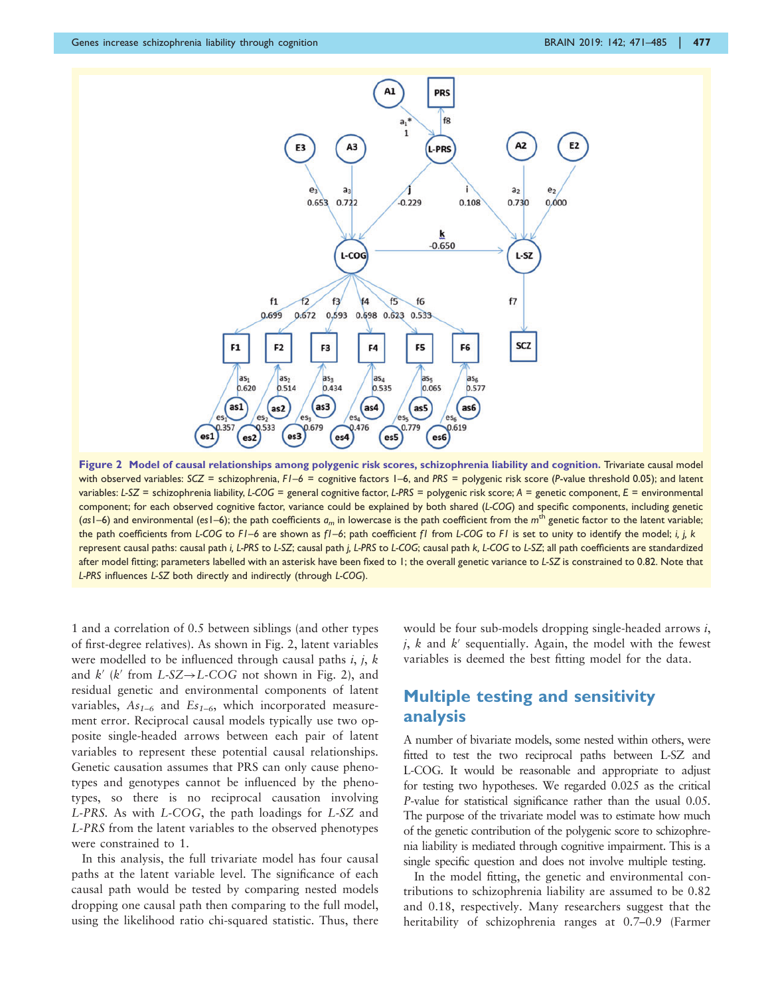<span id="page-6-0"></span>

Figure 2 Model of causal relationships among polygenic risk scores, schizophrenia liability and cognition. Trivariate causal model with observed variables:  $SCZ =$  schizophrenia,  $FI-6 =$  cognitive factors  $I-6$ , and PRS = polygenic risk score (P-value threshold 0.05); and latent variables: L-SZ = schizophrenia liability, L-COG = general cognitive factor, L-PRS = polygenic risk score;  $A =$  genetic component,  $E =$  environmental component; for each observed cognitive factor, variance could be explained by both shared (L-COG) and specific components, including genetic (as1–6) and environmental (es1–6); the path coefficients  $a_m$  in lowercase is the path coefficient from the m<sup>th</sup> genetic factor to the latent variable; the path coefficients from L-COG to F1–6 are shown as f1–6; path coefficient f1 from L-COG to F1 is set to unity to identify the model; i, j, k represent causal paths: causal path i, L-PRS to L-SZ; causal path j, L-PRS to L-COG; causal path k, L-COG to L-SZ; all path coefficients are standardized after model fitting; parameters labelled with an asterisk have been fixed to 1; the overall genetic variance to L-SZ is constrained to 0.82. Note that L-PRS influences L-SZ both directly and indirectly (through L-COG).

1 and a correlation of 0.5 between siblings (and other types of first-degree relatives). As shown in Fig. 2, latent variables were modelled to be influenced through causal paths  $i, j, k$ and  $k'$  (k' from L-SZ $\rightarrow$ L-COG not shown in Fig. 2), and residual genetic and environmental components of latent variables,  $As_{1-6}$  and  $Es_{1-6}$ , which incorporated measurement error. Reciprocal causal models typically use two opposite single-headed arrows between each pair of latent variables to represent these potential causal relationships. Genetic causation assumes that PRS can only cause phenotypes and genotypes cannot be influenced by the phenotypes, so there is no reciprocal causation involving L-PRS. As with L-COG, the path loadings for L-SZ and L-PRS from the latent variables to the observed phenotypes were constrained to 1.

In this analysis, the full trivariate model has four causal paths at the latent variable level. The significance of each causal path would be tested by comparing nested models dropping one causal path then comparing to the full model, using the likelihood ratio chi-squared statistic. Thus, there

would be four sub-models dropping single-headed arrows i,  $j, k$  and  $k'$  sequentially. Again, the model with the fewest variables is deemed the best fitting model for the data.

### Multiple testing and sensitivity analysis

A number of bivariate models, some nested within others, were fitted to test the two reciprocal paths between L-SZ and L-COG. It would be reasonable and appropriate to adjust for testing two hypotheses. We regarded 0.025 as the critical P-value for statistical significance rather than the usual 0.05. The purpose of the trivariate model was to estimate how much of the genetic contribution of the polygenic score to schizophrenia liability is mediated through cognitive impairment. This is a single specific question and does not involve multiple testing.

In the model fitting, the genetic and environmental contributions to schizophrenia liability are assumed to be 0.82 and 0.18, respectively. Many researchers suggest that the heritability of schizophrenia ranges at 0.7–0.9 [\(Farmer](#page-12-0)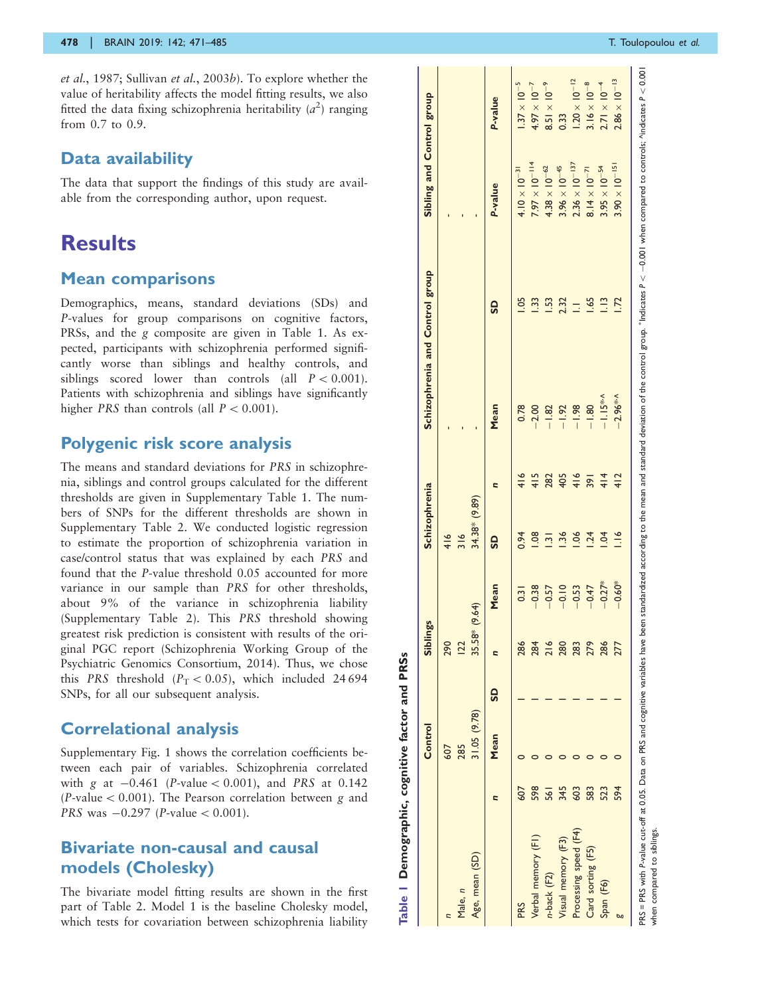et al.[, 1987;](#page-12-0) [Sullivan](#page-13-0) et al., 2003b). To explore whether the value of heritability affects the model fitting results, we also fitted the data fixing schizophrenia heritability  $(a^2)$  ranging from 0.7 to 0.9.

#### Data availability

The data that support the findings of this study are available from the corresponding author, upon request.

# **Results**

#### Mean comparisons

Demographics, means, standard deviations (SDs) and P-values for group comparisons on cognitive factors, PRSs, and the g composite are given in Table 1. As expected, participants with schizophrenia performed significantly worse than siblings and healthy controls, and siblings scored lower than controls (all  $P < 0.001$ ). Patients with schizophrenia and siblings have significantly higher *PRS* than controls (all  $P < 0.001$ ).

#### Polygenic risk score analysis

The means and standard deviations for PRS in schizophrenia, siblings and control groups calculated for the different thresholds are given in [Supplementary Table 1.](https://academic.oup.com/brainj/article-lookup/doi/10.1093/brainj/awy279#supplementary-data) The numbers of SNPs for the different thresholds are shown in [Supplementary Table 2](https://academic.oup.com/brainj/article-lookup/doi/10.1093/brainj/awy279#supplementary-data). We conducted logistic regression to estimate the proportion of schizophrenia variation in case/control status that was explained by each PRS and found that the P-value threshold 0.05 accounted for more variance in our sample than PRS for other thresholds, about 9% of the variance in schizophrenia liability [\(Supplementary Table 2](https://academic.oup.com/brainj/article-lookup/doi/10.1093/brainj/awy279#supplementary-data)). This PRS threshold showing greatest risk prediction is consistent with results of the original PGC report [\(Schizophrenia Working Group of the](#page-13-0) [Psychiatric Genomics Consortium, 2014\)](#page-13-0). Thus, we chose this PRS threshold ( $P_T < 0.05$ ), which included 24 694 SNPs, for all our subsequent analysis.

#### Correlational analysis

[Supplementary Fig. 1](https://academic.oup.com/brainj/article-lookup/doi/10.1093/brainj/awy279#supplementary-data) shows the correlation coefficients between each pair of variables. Schizophrenia correlated with g at  $-0.461$  (P-value  $< 0.001$ ), and PRS at 0.142 (P-value  $< 0.001$ ). The Pearson correlation between g and PRS was  $-0.297$  (P-value  $< 0.001$ ).

### Bivariate non-causal and causal models (Cholesky)

The bivariate model fitting results are shown in the first part of [Table 2](#page-8-0). Model 1 is the baseline Cholesky model, which tests for covariation between schizophrenia liability

|                                                                                                                                                                                                                                                              |     | Control                    |   | Siblings                          |                | <b>Schizophrenia</b>                    |                 | Schizophrenia and Control group |                | Sibling and Control group |                        |
|--------------------------------------------------------------------------------------------------------------------------------------------------------------------------------------------------------------------------------------------------------------|-----|----------------------------|---|-----------------------------------|----------------|-----------------------------------------|-----------------|---------------------------------|----------------|---------------------------|------------------------|
| Age, mean (SD)<br>Male, n                                                                                                                                                                                                                                    |     | 31.05 (9.78)<br>607<br>285 |   | 35.58* (9.64)<br>290<br><b>22</b> |                | 34.38* (9.89)<br>416<br>$\frac{316}{5}$ |                 |                                 |                |                           |                        |
|                                                                                                                                                                                                                                                              |     | Mean                       | G |                                   | Mean           | $\overline{\mathbf{S}}$                 | E               | Mean                            | G              | P-value                   | P-value                |
| <b>PRS</b>                                                                                                                                                                                                                                                   | 607 |                            |   | 286                               | $\overline{3}$ | 0.94                                    | $\frac{416}{5}$ | 0.78                            | $\frac{50}{1}$ | $4.10 \times 10^{-31}$    | $1.37 \times 10^{-5}$  |
| Verbal memory (FI)                                                                                                                                                                                                                                           | 598 |                            |   | 284                               | $-0.38$        | 0.08                                    | 415             | $-2.00$                         | $\frac{33}{2}$ | $7.97 \times 10^{-114}$   | $4.97 \times 10^{-7}$  |
| n-back (F2)                                                                                                                                                                                                                                                  | 561 |                            |   | 216                               | $-0.57$        | $\overline{\mathbb{E}}$                 | 282             | $-1.82$                         | $\frac{53}{2}$ | $4.38 \times 10^{-62}$    | $8.51 \times 10^{-9}$  |
| Visual memory (F3)                                                                                                                                                                                                                                           | 345 |                            |   | 280                               | $-0.10$        | 1.36                                    | 405             | $-1.92$                         | 2.32           | $3.96 \times 10^{-45}$    | 0.33                   |
| Processing speed (F4)                                                                                                                                                                                                                                        | 603 |                            |   | 283                               | $-0.53$        | 0.06                                    | 416             | $-1.98$                         | Ξ              | $2.36 \times 10^{-137}$   | $1.20 \times 10^{-12}$ |
| Card sorting (F5)                                                                                                                                                                                                                                            | 583 |                            |   | 279                               | $-0.47$        | 1.24                                    | 391             | $-1.80$                         | 1.65           | $8.14 \times 10^{-71}$    | $3.16 \times 10^{-8}$  |
| Span (F6)                                                                                                                                                                                                                                                    | 523 |                            |   | 286                               | $-0.27*$       | $\overline{6}$                          | 414             | $-1.15**$                       | $\frac{1}{2}$  | $3.95 \times 10^{-54}$    | $2.71 \times 10^{-4}$  |
| bo                                                                                                                                                                                                                                                           | 594 |                            |   | 277                               | $-0.60*$       | 1.16                                    | 412             | $-2.96**$                       | 1.72           | $3.90 \times 10^{-151}$   | $2.86 \times 10^{-13}$ |
| PRS = PRS with P-value cut-off at 0.05. Data on PRS and cognitive variables have been standardiacording to the mean and standard deviation of the control group. "Indicates P < -0.001 when compared to controls; \indicates P<br>when compared to siblings. |     |                            |   |                                   |                |                                         |                 |                                 |                |                           |                        |

Table 1 Demographic, cognitive factor and PRSs

Table | Demographic, cognitive factor and PRSs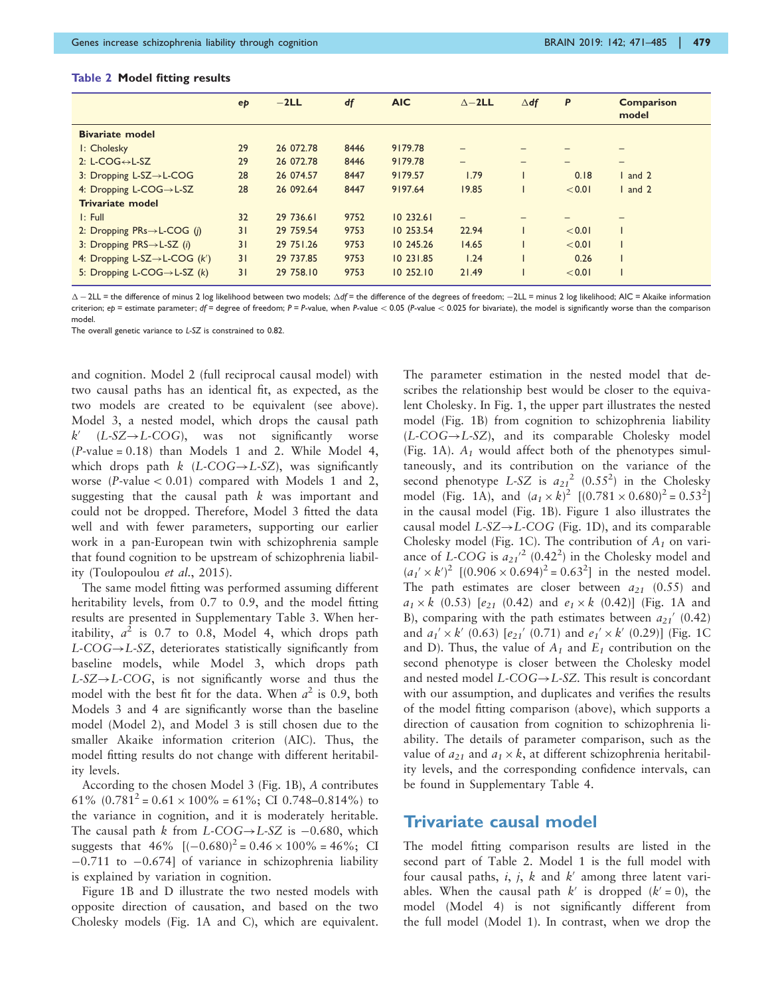#### <span id="page-8-0"></span>Table 2 Model fitting results

|                                           | ep | $-2LL$     | df   | <b>AIC</b> | $\Delta - 2LL$ | $\Delta$ df | P      | Comparison<br>model      |
|-------------------------------------------|----|------------|------|------------|----------------|-------------|--------|--------------------------|
| <b>Bivariate model</b>                    |    |            |      |            |                |             |        |                          |
| I: Cholesky                               | 29 | 26 072.78  | 8446 | 9179.78    |                |             |        |                          |
| 2: $L-COG \leftrightarrow L-SZ$           | 29 | 26 072.78  | 8446 | 9179.78    | -              |             |        | $\overline{\phantom{m}}$ |
| 3: Dropping L-SZ->L-COG                   | 28 | 26 074.57  | 8447 | 9179.57    | 1.79           |             | 0.18   | and 2                    |
| 4: Dropping L-COG->L-SZ                   | 28 | 26 092.64  | 8447 | 9197.64    | 19.85          |             | < 0.01 | I and 2                  |
| <b>Trivariate model</b>                   |    |            |      |            |                |             |        |                          |
| I: Full                                   | 32 | 29 736.61  | 9752 | 10232.61   |                |             |        |                          |
| 2: Dropping $PRs \rightarrow L-COG$ (i)   | 31 | 29 759.54  | 9753 | 10 253.54  | 22.94          |             | < 0.01 |                          |
| 3: Dropping $PRS \rightarrow L-SZ$ (i)    | 31 | 29 75 1.26 | 9753 | 10 245.26  | 14.65          |             | < 0.01 |                          |
| 4: Dropping L-SZ $\rightarrow$ L-COG (k') | 31 | 29 737.85  | 9753 | 10 23 1.85 | 1.24           |             | 0.26   |                          |
| 5: Dropping L-COG $\rightarrow$ L-SZ (k)  | 31 | 29 758.10  | 9753 | 10 252.10  | 21.49          |             | < 0.01 |                          |

 $\Delta-2LL$  = the difference of minus 2 log likelihood between two models;  $\Delta$ df = the difference of the degrees of freedom;  $-2LL$  = minus 2 log likelihood; AIC = Akaike information criterion; ep = estimate parameter; df = degree of freedom;  $P = P$ -value, when  $P$ -value < 0.05 ( $P$ -value < 0.025 for bivariate), the model is significantly worse than the comparison model.

The overall genetic variance to L-SZ is constrained to 0.82.

and cognition. Model 2 (full reciprocal causal model) with two causal paths has an identical fit, as expected, as the two models are created to be equivalent (see above). Model 3, a nested model, which drops the causal path  $k'$  (L-SZ $\rightarrow$ L-COG), was not significantly worse  $(P-value = 0.18)$  than Models 1 and 2. While Model 4, which drops path  $k$  (L-COG $\rightarrow$ L-SZ), was significantly worse (P-value  $< 0.01$ ) compared with Models 1 and 2, suggesting that the causal path  $k$  was important and could not be dropped. Therefore, Model 3 fitted the data well and with fewer parameters, supporting our earlier work in a pan-European twin with schizophrenia sample that found cognition to be upstream of schizophrenia liability ([Toulopoulou](#page-14-0) et al., 2015).

The same model fitting was performed assuming different heritability levels, from 0.7 to 0.9, and the model fitting results are presented in [Supplementary Table 3.](https://academic.oup.com/brainj/article-lookup/doi/10.1093/brainj/awy279#supplementary-data) When heritability,  $a^2$  is 0.7 to 0.8, Model 4, which drops path  $L$ -COG $\rightarrow$ L-SZ, deteriorates statistically significantly from baseline models, while Model 3, which drops path  $L-SZ \rightarrow L-COG$ , is not significantly worse and thus the model with the best fit for the data. When  $a^2$  is 0.9, both Models 3 and 4 are significantly worse than the baseline model (Model 2), and Model 3 is still chosen due to the smaller Akaike information criterion (AIC). Thus, the model fitting results do not change with different heritability levels.

According to the chosen Model 3 [\(Fig. 1](#page-4-0)B), A contributes 61% (0.781<sup>2</sup> = 0.61  $\times$  100% = 61%; CI 0.748–0.814%) to the variance in cognition, and it is moderately heritable. The causal path k from L-COG $\rightarrow$ L-SZ is -0.680, which suggests that  $46\%$   $[(-0.680)^{2} = 0.46 \times 100\% = 46\%;$  CI  $-0.711$  to  $-0.674$ ] of variance in schizophrenia liability is explained by variation in cognition.

[Figure 1B](#page-4-0) and D illustrate the two nested models with opposite direction of causation, and based on the two Cholesky models ([Fig. 1A](#page-4-0) and C), which are equivalent. The parameter estimation in the nested model that describes the relationship best would be closer to the equivalent Cholesky. In [Fig. 1,](#page-4-0) the upper part illustrates the nested model [\(Fig. 1B](#page-4-0)) from cognition to schizophrenia liability  $(L-COG \rightarrow L-SZ)$ , and its comparable Cholesky model ([Fig. 1](#page-4-0)A).  $A_1$  would affect both of the phenotypes simultaneously, and its contribution on the variance of the second phenotype L-SZ is  $a_{21}^2$  (0.55<sup>2</sup>) in the Cholesky model [\(Fig. 1](#page-4-0)A), and  $(a_1 \times k)^2$   $[(0.781 \times 0.680)^2 = 0.53^2]$ in the causal model [\(Fig. 1B](#page-4-0)). [Figure 1](#page-4-0) also illustrates the causal model  $L$ -SZ $\rightarrow$ L-COG ([Fig. 1](#page-4-0)D), and its comparable Cholesky model [\(Fig. 1C](#page-4-0)). The contribution of  $A_1$  on variance of L-COG is  $a_{21}^{\prime 2}$  (0.42<sup>2</sup>) in the Cholesky model and  $(a_1' \times k')^2$  [(0.906  $\times$  0.694)<sup>2</sup> = 0.63<sup>2</sup>] in the nested model. The path estimates are closer between  $a_{21}$  (0.55) and  $a_1 \times k$  (0.53) [e<sub>21</sub> (0.42) and e<sub>1</sub>  $\times k$  (0.42)] [\(Fig. 1A](#page-4-0) and B), comparing with the path estimates between  $a_{21}$ <sup>'</sup> (0.42) and  $a_1' \times k'$  (0.63) [ $e_{21}'$  (0.71) and  $e_1' \times k'$  (0.29)] ([Fig. 1C](#page-4-0) and D). Thus, the value of  $A_1$  and  $E_1$  contribution on the second phenotype is closer between the Cholesky model and nested model  $L$ -COG $\rightarrow$ L-SZ. This result is concordant with our assumption, and duplicates and verifies the results of the model fitting comparison (above), which supports a direction of causation from cognition to schizophrenia liability. The details of parameter comparison, such as the value of  $a_{21}$  and  $a_1 \times k$ , at different schizophrenia heritability levels, and the corresponding confidence intervals, can be found in [Supplementary Table 4](https://academic.oup.com/brainj/article-lookup/doi/10.1093/brainj/awy279#supplementary-data).

#### Trivariate causal model

The model fitting comparison results are listed in the second part of Table 2. Model 1 is the full model with four causal paths,  $i$ ,  $j$ ,  $k$  and  $k'$  among three latent variables. When the causal path  $k'$  is dropped  $(k' = 0)$ , the model (Model 4) is not significantly different from the full model (Model 1). In contrast, when we drop the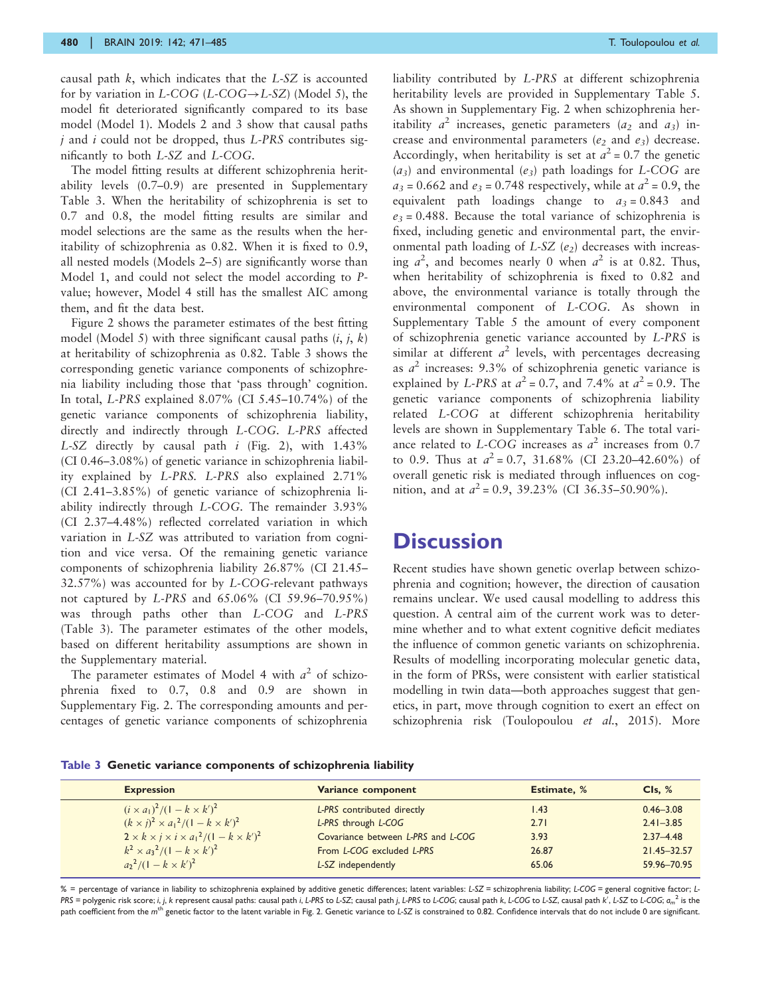causal path k, which indicates that the L-SZ is accounted for by variation in L-COG (L-COG $\rightarrow$  L-SZ) (Model 5), the model fit deteriorated significantly compared to its base model (Model 1). Models 2 and 3 show that causal paths  $i$  and  $i$  could not be dropped, thus L-PRS contributes significantly to both L-SZ and L-COG.

The model fitting results at different schizophrenia heritability levels (0.7–0.9) are presented in [Supplementary](https://academic.oup.com/brainj/article-lookup/doi/10.1093/brainj/awy279#supplementary-data) [Table 3](https://academic.oup.com/brainj/article-lookup/doi/10.1093/brainj/awy279#supplementary-data). When the heritability of schizophrenia is set to 0.7 and 0.8, the model fitting results are similar and model selections are the same as the results when the heritability of schizophrenia as 0.82. When it is fixed to 0.9, all nested models (Models 2–5) are significantly worse than Model 1, and could not select the model according to Pvalue; however, Model 4 still has the smallest AIC among them, and fit the data best.

[Figure 2](#page-6-0) shows the parameter estimates of the best fitting model (Model 5) with three significant causal paths  $(i, j, k)$ at heritability of schizophrenia as 0.82. Table 3 shows the corresponding genetic variance components of schizophrenia liability including those that 'pass through' cognition. In total, L-PRS explained 8.07% (CI 5.45–10.74%) of the genetic variance components of schizophrenia liability, directly and indirectly through L-COG. L-PRS affected L-SZ directly by causal path  $i$  ([Fig. 2\)](#page-6-0), with 1.43% (CI 0.46–3.08%) of genetic variance in schizophrenia liability explained by L-PRS. L-PRS also explained 2.71% (CI 2.41–3.85%) of genetic variance of schizophrenia liability indirectly through L-COG. The remainder 3.93% (CI 2.37–4.48%) reflected correlated variation in which variation in L-SZ was attributed to variation from cognition and vice versa. Of the remaining genetic variance components of schizophrenia liability 26.87% (CI 21.45– 32.57%) was accounted for by L-COG-relevant pathways not captured by L-PRS and 65.06% (CI 59.96–70.95%) was through paths other than L-COG and L-PRS (Table 3). The parameter estimates of the other models, based on different heritability assumptions are shown in the [Supplementary material.](https://academic.oup.com/brainj/article-lookup/doi/10.1093/brainj/awy279#supplementary-data)

The parameter estimates of Model 4 with  $a^2$  of schizophrenia fixed to 0.7, 0.8 and 0.9 are shown in [Supplementary Fig. 2.](https://academic.oup.com/brainj/article-lookup/doi/10.1093/brainj/awy279#supplementary-data) The corresponding amounts and percentages of genetic variance components of schizophrenia

liability contributed by L-PRS at different schizophrenia heritability levels are provided in [Supplementary Table 5](https://academic.oup.com/brainj/article-lookup/doi/10.1093/brainj/awy279#supplementary-data). As shown in [Supplementary Fig. 2](https://academic.oup.com/brainj/article-lookup/doi/10.1093/brainj/awy279#supplementary-data) when schizophrenia heritability  $a^2$  increases, genetic parameters ( $a_2$  and  $a_3$ ) increase and environmental parameters ( $e_2$  and  $e_3$ ) decrease. Accordingly, when heritability is set at  $a^2 = 0.7$  the genetic  $(a_3)$  and environmental  $(e_3)$  path loadings for L-COG are  $a_3 = 0.662$  and  $e_3 = 0.748$  respectively, while at  $a^2 = 0.9$ , the equivalent path loadings change to  $a_3 = 0.843$  and  $e_3$  = 0.488. Because the total variance of schizophrenia is fixed, including genetic and environmental part, the environmental path loading of  $L$ -SZ ( $e_2$ ) decreases with increasing  $a^2$ , and becomes nearly 0 when  $a^2$  is at 0.82. Thus, when heritability of schizophrenia is fixed to 0.82 and above, the environmental variance is totally through the environmental component of L-COG. As shown in [Supplementary Table 5](https://academic.oup.com/brainj/article-lookup/doi/10.1093/brainj/awy279#supplementary-data) the amount of every component of schizophrenia genetic variance accounted by L-PRS is similar at different  $a^2$  levels, with percentages decreasing as  $a^2$  increases: 9.3% of schizophrenia genetic variance is explained by L-PRS at  $a^2 = 0.7$ , and 7.4% at  $a^2 = 0.9$ . The genetic variance components of schizophrenia liability related L-COG at different schizophrenia heritability levels are shown in [Supplementary Table 6](https://academic.oup.com/brainj/article-lookup/doi/10.1093/brainj/awy279#supplementary-data). The total variance related to L-COG increases as  $a^2$  increases from 0.7 to 0.9. Thus at  $a^2 = 0.7$ , 31.68% (CI 23.20–42.60%) of overall genetic risk is mediated through influences on cognition, and at  $a^2 = 0.9$ , 39.23% (CI 36.35–50.90%).

# **Discussion**

Recent studies have shown genetic overlap between schizophrenia and cognition; however, the direction of causation remains unclear. We used causal modelling to address this question. A central aim of the current work was to determine whether and to what extent cognitive deficit mediates the influence of common genetic variants on schizophrenia. Results of modelling incorporating molecular genetic data, in the form of PRSs, were consistent with earlier statistical modelling in twin data—both approaches suggest that genetics, in part, move through cognition to exert an effect on schizophrenia risk [\(Toulopoulou](#page-14-0) et al., 2015). More

|  |  |  | Table 3 Genetic variance components of schizophrenia liability |  |  |  |  |  |
|--|--|--|----------------------------------------------------------------|--|--|--|--|--|
|--|--|--|----------------------------------------------------------------|--|--|--|--|--|

| <b>Expression</b>                                               | Variance component                 | <b>Estimate, %</b> | CIs. %        |
|-----------------------------------------------------------------|------------------------------------|--------------------|---------------|
| $(i \times a_1)^2/(1 - k \times k')^2$                          | L-PRS contributed directly         | 1.43               | $0.46 - 3.08$ |
| $(k \times i)^2 \times a_1^2/(1 - k \times k')^2$               | L-PRS through L-COG                | 2.71               | $2.41 - 3.85$ |
| $2 \times k \times i \times i \times a_1^2/(1 - k \times k')^2$ | Covariance between L-PRS and L-COG | 3.93               | $2.37 - 4.48$ |
| $k^2 \times a_3^2/(1-k \times k')^2$                            | From L-COG excluded L-PRS          | 26.87              | 21.45-32.57   |
| $a_2^2/(1-k \times k')^2$                                       | L-SZ independently                 | 65.06              | 59.96-70.95   |

% = percentage of variance in liability to schizophrenia explained by additive genetic differences; latent variables: L-SZ = schizophrenia liability; L-COG = general cognitive factor; L-PRS = polygenic risk score; i, j, k represent causal paths: causal path i, L-PRS to L-SZ; causal path j, L-PRS to L-COG; causal path k, L-COG to L-SZ, causal path k', L-SZ to L-COG;  $a_m^2$  is the path coefficient from the m<sup>th</sup> genetic factor to the latent variable in [Fig. 2.](#page-6-0) Genetic variance to L-SZ is constrained to 0.82. Confidence intervals that do not include 0 are significant.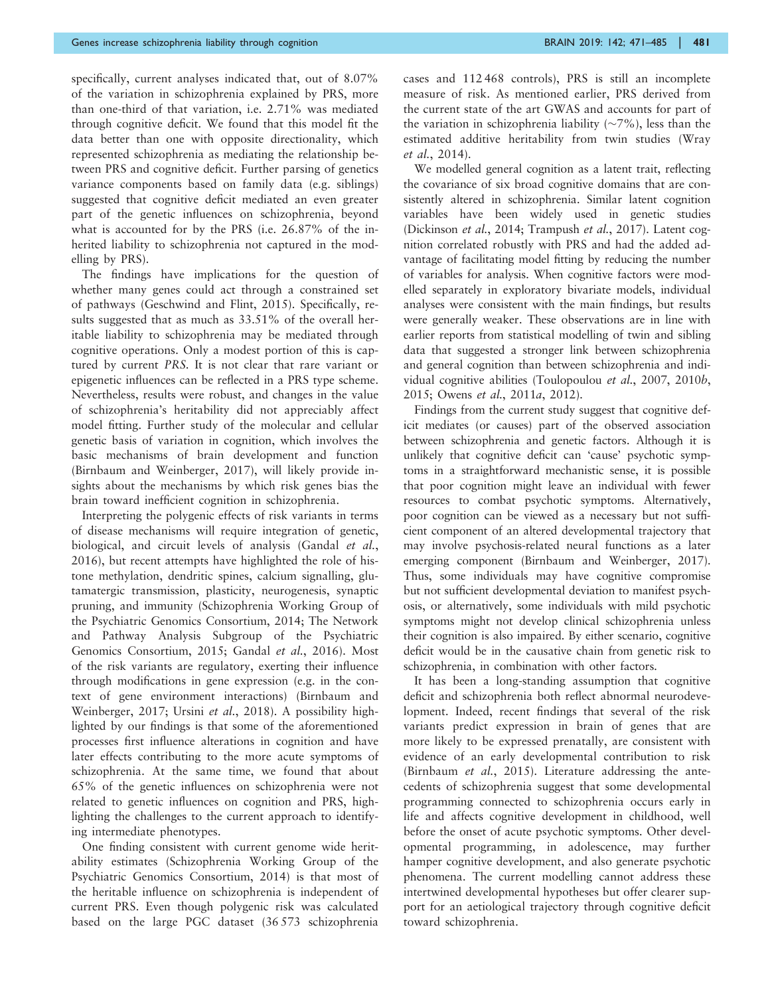specifically, current analyses indicated that, out of 8.07% of the variation in schizophrenia explained by PRS, more than one-third of that variation, i.e. 2.71% was mediated through cognitive deficit. We found that this model fit the data better than one with opposite directionality, which represented schizophrenia as mediating the relationship between PRS and cognitive deficit. Further parsing of genetics variance components based on family data (e.g. siblings) suggested that cognitive deficit mediated an even greater part of the genetic influences on schizophrenia, beyond what is accounted for by the PRS (i.e. 26.87% of the inherited liability to schizophrenia not captured in the modelling by PRS).

The findings have implications for the question of whether many genes could act through a constrained set of pathways ([Geschwind and Flint, 2015\)](#page-12-0). Specifically, results suggested that as much as 33.51% of the overall heritable liability to schizophrenia may be mediated through cognitive operations. Only a modest portion of this is captured by current PRS. It is not clear that rare variant or epigenetic influences can be reflected in a PRS type scheme. Nevertheless, results were robust, and changes in the value of schizophrenia's heritability did not appreciably affect model fitting. Further study of the molecular and cellular genetic basis of variation in cognition, which involves the basic mechanisms of brain development and function ([Birnbaum and Weinberger, 2017\)](#page-12-0), will likely provide insights about the mechanisms by which risk genes bias the brain toward inefficient cognition in schizophrenia.

Interpreting the polygenic effects of risk variants in terms of disease mechanisms will require integration of genetic, biological, and circuit levels of analysis [\(Gandal](#page-12-0) et al., [2016\)](#page-12-0), but recent attempts have highlighted the role of histone methylation, dendritic spines, calcium signalling, glutamatergic transmission, plasticity, neurogenesis, synaptic pruning, and immunity ([Schizophrenia Working Group of](#page-13-0) [the Psychiatric Genomics Consortium, 2014; The Network](#page-13-0) [and Pathway Analysis Subgroup of the Psychiatric](#page-13-0) [Genomics Consortium, 2015;](#page-13-0) [Gandal](#page-12-0) et al., 2016). Most of the risk variants are regulatory, exerting their influence through modifications in gene expression (e.g. in the context of gene environment interactions) [\(Birnbaum and](#page-12-0) [Weinberger, 2017](#page-12-0); Ursini et al.[, 2018](#page-14-0)). A possibility highlighted by our findings is that some of the aforementioned processes first influence alterations in cognition and have later effects contributing to the more acute symptoms of schizophrenia. At the same time, we found that about 65% of the genetic influences on schizophrenia were not related to genetic influences on cognition and PRS, highlighting the challenges to the current approach to identifying intermediate phenotypes.

One finding consistent with current genome wide heritability estimates ([Schizophrenia Working Group of the](#page-13-0) [Psychiatric Genomics Consortium, 2014](#page-13-0)) is that most of the heritable influence on schizophrenia is independent of current PRS. Even though polygenic risk was calculated based on the large PGC dataset (36 573 schizophrenia

cases and 112 468 controls), PRS is still an incomplete measure of risk. As mentioned earlier, PRS derived from the current state of the art GWAS and accounts for part of the variation in schizophrenia liability ( $\sim$ 7%), less than the estimated additive heritability from twin studies ([Wray](#page-14-0) et al.[, 2014\)](#page-14-0).

We modelled general cognition as a latent trait, reflecting the covariance of six broad cognitive domains that are consistently altered in schizophrenia. Similar latent cognition variables have been widely used in genetic studies ([Dickinson](#page-12-0) et al., 2014; [Trampush](#page-14-0) et al., 2017). Latent cognition correlated robustly with PRS and had the added advantage of facilitating model fitting by reducing the number of variables for analysis. When cognitive factors were modelled separately in exploratory bivariate models, individual analyses were consistent with the main findings, but results were generally weaker. These observations are in line with earlier reports from statistical modelling of twin and sibling data that suggested a stronger link between schizophrenia and general cognition than between schizophrenia and individual cognitive abilities ([Toulopoulou](#page-13-0) et al., 2007, [2010](#page-13-0)b, [2015](#page-14-0); [Owens](#page-13-0) et al., 2011a, [2012](#page-13-0)).

Findings from the current study suggest that cognitive deficit mediates (or causes) part of the observed association between schizophrenia and genetic factors. Although it is unlikely that cognitive deficit can 'cause' psychotic symptoms in a straightforward mechanistic sense, it is possible that poor cognition might leave an individual with fewer resources to combat psychotic symptoms. Alternatively, poor cognition can be viewed as a necessary but not sufficient component of an altered developmental trajectory that may involve psychosis-related neural functions as a later emerging component ([Birnbaum and Weinberger, 2017](#page-12-0)). Thus, some individuals may have cognitive compromise but not sufficient developmental deviation to manifest psychosis, or alternatively, some individuals with mild psychotic symptoms might not develop clinical schizophrenia unless their cognition is also impaired. By either scenario, cognitive deficit would be in the causative chain from genetic risk to schizophrenia, in combination with other factors.

It has been a long-standing assumption that cognitive deficit and schizophrenia both reflect abnormal neurodevelopment. Indeed, recent findings that several of the risk variants predict expression in brain of genes that are more likely to be expressed prenatally, are consistent with evidence of an early developmental contribution to risk ([Birnbaum](#page-12-0) et al., 2015). Literature addressing the antecedents of schizophrenia suggest that some developmental programming connected to schizophrenia occurs early in life and affects cognitive development in childhood, well before the onset of acute psychotic symptoms. Other developmental programming, in adolescence, may further hamper cognitive development, and also generate psychotic phenomena. The current modelling cannot address these intertwined developmental hypotheses but offer clearer support for an aetiological trajectory through cognitive deficit toward schizophrenia.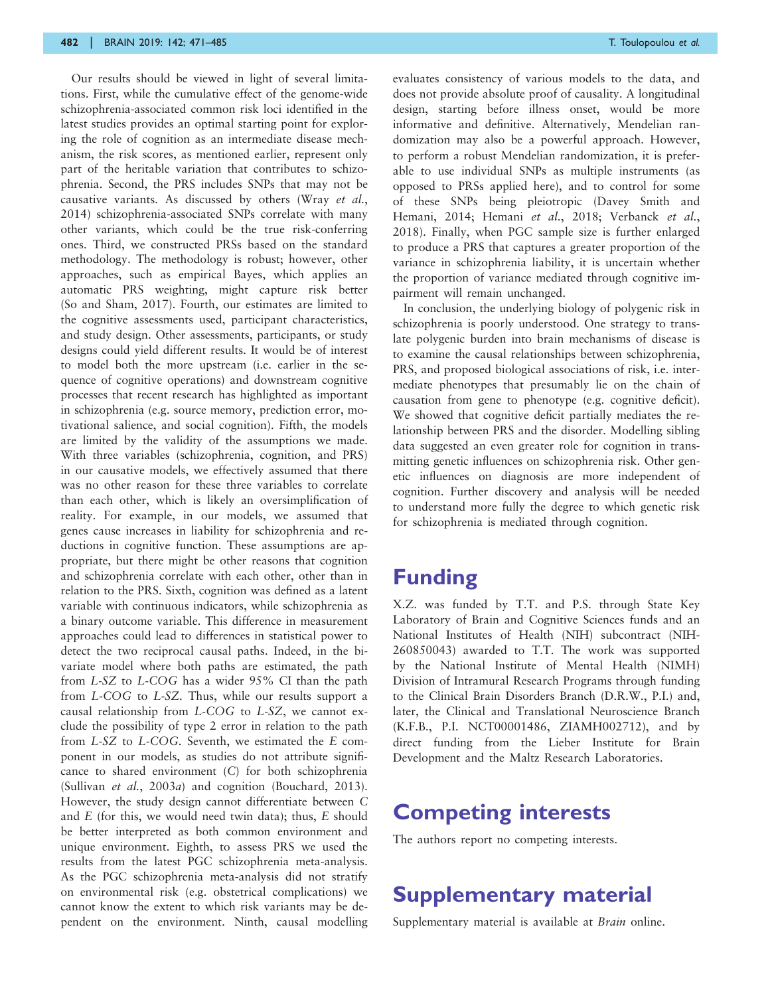Our results should be viewed in light of several limitations. First, while the cumulative effect of the genome-wide schizophrenia-associated common risk loci identified in the latest studies provides an optimal starting point for exploring the role of cognition as an intermediate disease mechanism, the risk scores, as mentioned earlier, represent only part of the heritable variation that contributes to schizophrenia. Second, the PRS includes SNPs that may not be causative variants. As discussed by others (Wray [et al.](#page-14-0), [2014](#page-14-0)) schizophrenia-associated SNPs correlate with many other variants, which could be the true risk-conferring ones. Third, we constructed PRSs based on the standard methodology. The methodology is robust; however, other approaches, such as empirical Bayes, which applies an automatic PRS weighting, might capture risk better [\(So and Sham, 2017\)](#page-13-0). Fourth, our estimates are limited to the cognitive assessments used, participant characteristics, and study design. Other assessments, participants, or study designs could yield different results. It would be of interest to model both the more upstream (i.e. earlier in the sequence of cognitive operations) and downstream cognitive processes that recent research has highlighted as important in schizophrenia (e.g. source memory, prediction error, motivational salience, and social cognition). Fifth, the models are limited by the validity of the assumptions we made. With three variables (schizophrenia, cognition, and PRS) in our causative models, we effectively assumed that there was no other reason for these three variables to correlate than each other, which is likely an oversimplification of reality. For example, in our models, we assumed that genes cause increases in liability for schizophrenia and reductions in cognitive function. These assumptions are appropriate, but there might be other reasons that cognition and schizophrenia correlate with each other, other than in relation to the PRS. Sixth, cognition was defined as a latent variable with continuous indicators, while schizophrenia as a binary outcome variable. This difference in measurement approaches could lead to differences in statistical power to detect the two reciprocal causal paths. Indeed, in the bivariate model where both paths are estimated, the path from L-SZ to L-COG has a wider 95% CI than the path from L-COG to L-SZ. Thus, while our results support a causal relationship from L-COG to L-SZ, we cannot exclude the possibility of type 2 error in relation to the path from L-SZ to L-COG. Seventh, we estimated the E component in our models, as studies do not attribute significance to shared environment (C) for both schizophrenia [\(Sullivan](#page-13-0) et al., 2003a) and cognition ([Bouchard, 2013\)](#page-12-0). However, the study design cannot differentiate between C and  $E$  (for this, we would need twin data); thus,  $E$  should be better interpreted as both common environment and unique environment. Eighth, to assess PRS we used the results from the latest PGC schizophrenia meta-analysis. As the PGC schizophrenia meta-analysis did not stratify on environmental risk (e.g. obstetrical complications) we cannot know the extent to which risk variants may be dependent on the environment. Ninth, causal modelling

evaluates consistency of various models to the data, and does not provide absolute proof of causality. A longitudinal design, starting before illness onset, would be more informative and definitive. Alternatively, Mendelian randomization may also be a powerful approach. However, to perform a robust Mendelian randomization, it is preferable to use individual SNPs as multiple instruments (as opposed to PRSs applied here), and to control for some of these SNPs being pleiotropic [\(Davey Smith and](#page-12-0) [Hemani, 2014](#page-12-0); [Hemani](#page-13-0) et al., 2018; [Verbanck](#page-14-0) et al., [2018\)](#page-14-0). Finally, when PGC sample size is further enlarged to produce a PRS that captures a greater proportion of the variance in schizophrenia liability, it is uncertain whether the proportion of variance mediated through cognitive impairment will remain unchanged.

In conclusion, the underlying biology of polygenic risk in schizophrenia is poorly understood. One strategy to translate polygenic burden into brain mechanisms of disease is to examine the causal relationships between schizophrenia, PRS, and proposed biological associations of risk, i.e. intermediate phenotypes that presumably lie on the chain of causation from gene to phenotype (e.g. cognitive deficit). We showed that cognitive deficit partially mediates the relationship between PRS and the disorder. Modelling sibling data suggested an even greater role for cognition in transmitting genetic influences on schizophrenia risk. Other genetic influences on diagnosis are more independent of cognition. Further discovery and analysis will be needed to understand more fully the degree to which genetic risk for schizophrenia is mediated through cognition.

# Funding

X.Z. was funded by T.T. and P.S. through State Key Laboratory of Brain and Cognitive Sciences funds and an National Institutes of Health (NIH) subcontract (NIH-260850043) awarded to T.T. The work was supported by the National Institute of Mental Health (NIMH) Division of Intramural Research Programs through funding to the Clinical Brain Disorders Branch (D.R.W., P.I.) and, later, the Clinical and Translational Neuroscience Branch (K.F.B., P.I. NCT00001486, ZIAMH002712), and by direct funding from the Lieber Institute for Brain Development and the Maltz Research Laboratories.

# Competing interests

The authors report no competing interests.

# Supplementary material

[Supplementary material](https://academic.oup.com/brainj/article-lookup/doi/10.1093/brainj/awy279#supplementary-data) is available at *Brain* online.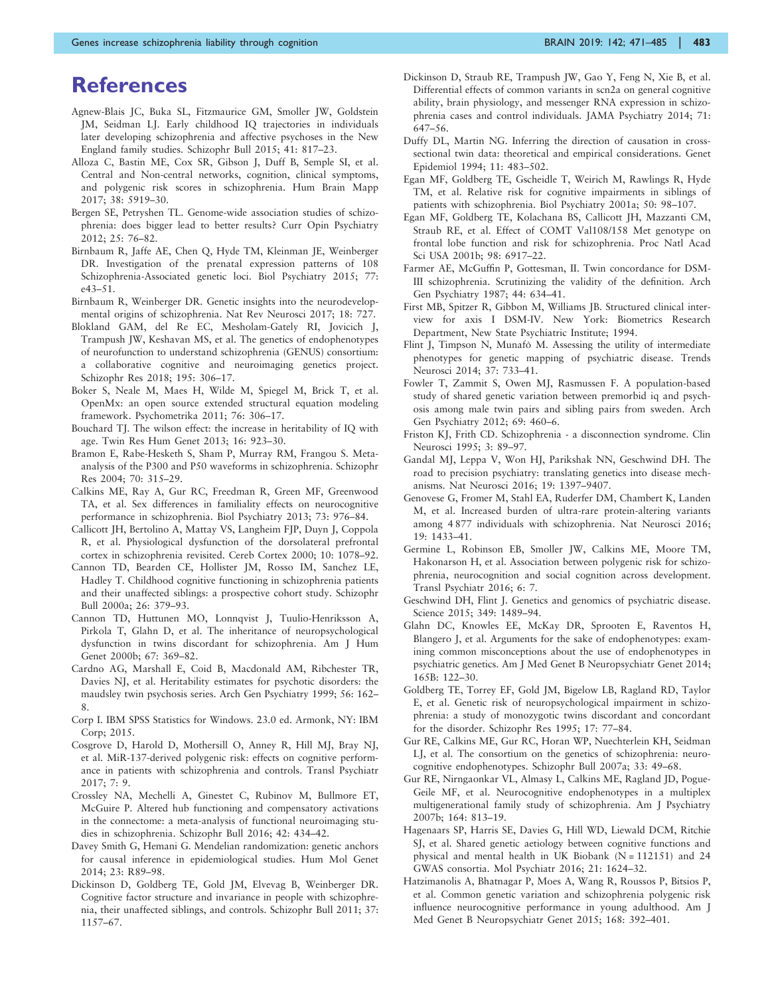## <span id="page-12-0"></span>**References**

- Agnew-Blais JC, Buka SL, Fitzmaurice GM, Smoller JW, Goldstein JM, Seidman LJ. Early childhood IQ trajectories in individuals later developing schizophrenia and affective psychoses in the New England family studies. Schizophr Bull 2015; 41: 817–23.
- Alloza C, Bastin ME, Cox SR, Gibson J, Duff B, Semple SI, et al. Central and Non-central networks, cognition, clinical symptoms, and polygenic risk scores in schizophrenia. Hum Brain Mapp 2017; 38: 5919–30.
- Bergen SE, Petryshen TL. Genome-wide association studies of schizophrenia: does bigger lead to better results? Curr Opin Psychiatry 2012; 25: 76–82.
- Birnbaum R, Jaffe AE, Chen Q, Hyde TM, Kleinman JE, Weinberger DR. Investigation of the prenatal expression patterns of 108 Schizophrenia-Associated genetic loci. Biol Psychiatry 2015; 77: e43–51.
- Birnbaum R, Weinberger DR. Genetic insights into the neurodevelopmental origins of schizophrenia. Nat Rev Neurosci 2017; 18: 727.
- Blokland GAM, del Re EC, Mesholam-Gately RI, Jovicich J, Trampush JW, Keshavan MS, et al. The genetics of endophenotypes of neurofunction to understand schizophrenia (GENUS) consortium: a collaborative cognitive and neuroimaging genetics project. Schizophr Res 2018; 195: 306–17.
- Boker S, Neale M, Maes H, Wilde M, Spiegel M, Brick T, et al. OpenMx: an open source extended structural equation modeling framework. Psychometrika 2011; 76: 306–17.
- Bouchard TJ. The wilson effect: the increase in heritability of IQ with age. Twin Res Hum Genet 2013; 16: 923–30.
- Bramon E, Rabe-Hesketh S, Sham P, Murray RM, Frangou S. Metaanalysis of the P300 and P50 waveforms in schizophrenia. Schizophr Res 2004; 70: 315–29.
- Calkins ME, Ray A, Gur RC, Freedman R, Green MF, Greenwood TA, et al. Sex differences in familiality effects on neurocognitive performance in schizophrenia. Biol Psychiatry 2013; 73: 976–84.
- Callicott JH, Bertolino A, Mattay VS, Langheim FJP, Duyn J, Coppola R, et al. Physiological dysfunction of the dorsolateral prefrontal cortex in schizophrenia revisited. Cereb Cortex 2000; 10: 1078–92.
- Cannon TD, Bearden CE, Hollister JM, Rosso IM, Sanchez LE, Hadley T. Childhood cognitive functioning in schizophrenia patients and their unaffected siblings: a prospective cohort study. Schizophr Bull 2000a; 26: 379–93.
- Cannon TD, Huttunen MO, Lonnqvist J, Tuulio-Henriksson A, Pirkola T, Glahn D, et al. The inheritance of neuropsychological dysfunction in twins discordant for schizophrenia. Am J Hum Genet 2000b; 67: 369–82.
- Cardno AG, Marshall E, Coid B, Macdonald AM, Ribchester TR, Davies NJ, et al. Heritability estimates for psychotic disorders: the maudsley twin psychosis series. Arch Gen Psychiatry 1999; 56: 162– 8.
- Corp I. IBM SPSS Statistics for Windows. 23.0 ed. Armonk, NY: IBM Corp; 2015.
- Cosgrove D, Harold D, Mothersill O, Anney R, Hill MJ, Bray NJ, et al. MiR-137-derived polygenic risk: effects on cognitive performance in patients with schizophrenia and controls. Transl Psychiatr 2017; 7: 9.
- Crossley NA, Mechelli A, Ginestet C, Rubinov M, Bullmore ET, McGuire P. Altered hub functioning and compensatory activations in the connectome: a meta-analysis of functional neuroimaging studies in schizophrenia. Schizophr Bull 2016; 42: 434–42.
- Davey Smith G, Hemani G. Mendelian randomization: genetic anchors for causal inference in epidemiological studies. Hum Mol Genet 2014; 23: R89–98.
- Dickinson D, Goldberg TE, Gold JM, Elvevag B, Weinberger DR. Cognitive factor structure and invariance in people with schizophrenia, their unaffected siblings, and controls. Schizophr Bull 2011; 37: 1157–67.
- Dickinson D, Straub RE, Trampush JW, Gao Y, Feng N, Xie B, et al. Differential effects of common variants in scn2a on general cognitive ability, brain physiology, and messenger RNA expression in schizophrenia cases and control individuals. JAMA Psychiatry 2014; 71: 647–56.
- Duffy DL, Martin NG. Inferring the direction of causation in crosssectional twin data: theoretical and empirical considerations. Genet Epidemiol 1994; 11: 483–502.
- Egan MF, Goldberg TE, Gscheidle T, Weirich M, Rawlings R, Hyde TM, et al. Relative risk for cognitive impairments in siblings of patients with schizophrenia. Biol Psychiatry 2001a; 50: 98–107.
- Egan MF, Goldberg TE, Kolachana BS, Callicott JH, Mazzanti CM, Straub RE, et al. Effect of COMT Val108/158 Met genotype on frontal lobe function and risk for schizophrenia. Proc Natl Acad Sci USA 2001b; 98: 6917–22.
- Farmer AE, McGuffin P, Gottesman, II. Twin concordance for DSM-III schizophrenia. Scrutinizing the validity of the definition. Arch Gen Psychiatry 1987; 44: 634–41.
- First MB, Spitzer R, Gibbon M, Williams JB. Structured clinical interview for axis I DSM-IV. New York: Biometrics Research Department, New State Psychiatric Institute; 1994.
- Flint J, Timpson N, Munafò M. Assessing the utility of intermediate phenotypes for genetic mapping of psychiatric disease. Trends Neurosci 2014; 37: 733–41.
- Fowler T, Zammit S, Owen MJ, Rasmussen F. A population-based study of shared genetic variation between premorbid iq and psychosis among male twin pairs and sibling pairs from sweden. Arch Gen Psychiatry 2012; 69: 460–6.
- Friston KJ, Frith CD. Schizophrenia a disconnection syndrome. Clin Neurosci 1995; 3: 89–97.
- Gandal MJ, Leppa V, Won HJ, Parikshak NN, Geschwind DH. The road to precision psychiatry: translating genetics into disease mechanisms. Nat Neurosci 2016; 19: 1397–9407.
- Genovese G, Fromer M, Stahl EA, Ruderfer DM, Chambert K, Landen M, et al. Increased burden of ultra-rare protein-altering variants among 4 877 individuals with schizophrenia. Nat Neurosci 2016; 19: 1433–41.
- Germine L, Robinson EB, Smoller JW, Calkins ME, Moore TM, Hakonarson H, et al. Association between polygenic risk for schizophrenia, neurocognition and social cognition across development. Transl Psychiatr 2016; 6: 7.
- Geschwind DH, Flint J. Genetics and genomics of psychiatric disease. Science 2015; 349: 1489–94.
- Glahn DC, Knowles EE, McKay DR, Sprooten E, Raventos H, Blangero J, et al. Arguments for the sake of endophenotypes: examining common misconceptions about the use of endophenotypes in psychiatric genetics. Am J Med Genet B Neuropsychiatr Genet 2014; 165B: 122–30.
- Goldberg TE, Torrey EF, Gold JM, Bigelow LB, Ragland RD, Taylor E, et al. Genetic risk of neuropsychological impairment in schizophrenia: a study of monozygotic twins discordant and concordant for the disorder. Schizophr Res 1995; 17: 77–84.
- Gur RE, Calkins ME, Gur RC, Horan WP, Nuechterlein KH, Seidman LJ, et al. The consortium on the genetics of schizophrenia: neurocognitive endophenotypes. Schizophr Bull 2007a; 33: 49–68.
- Gur RE, Nirngaonkar VL, Almasy L, Calkins ME, Ragland JD, Pogue-Geile MF, et al. Neurocognitive endophenotypes in a multiplex multigenerational family study of schizophrenia. Am J Psychiatry 2007b; 164: 813–19.
- Hagenaars SP, Harris SE, Davies G, Hill WD, Liewald DCM, Ritchie SJ, et al. Shared genetic aetiology between cognitive functions and physical and mental health in UK Biobank ( $N = 112151$ ) and 24 GWAS consortia. Mol Psychiatr 2016; 21: 1624–32.
- Hatzimanolis A, Bhatnagar P, Moes A, Wang R, Roussos P, Bitsios P, et al. Common genetic variation and schizophrenia polygenic risk influence neurocognitive performance in young adulthood. Am J Med Genet B Neuropsychiatr Genet 2015; 168: 392–401.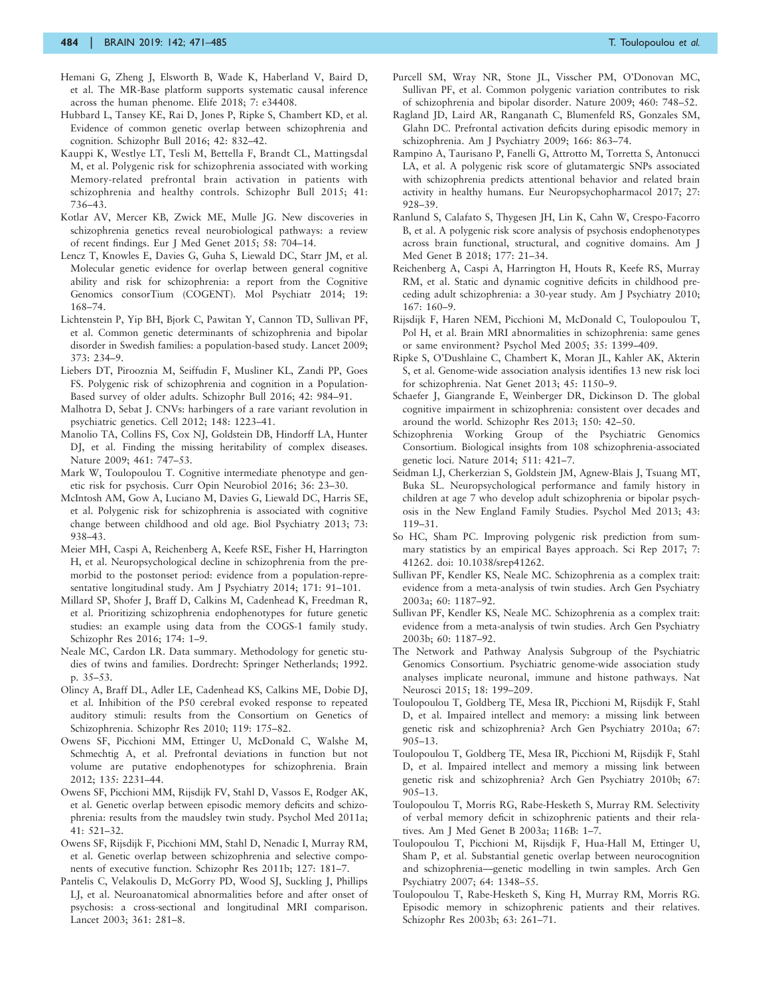- <span id="page-13-0"></span>Hemani G, Zheng J, Elsworth B, Wade K, Haberland V, Baird D, et al. The MR-Base platform supports systematic causal inference across the human phenome. Elife 2018; 7: e34408.
- Hubbard L, Tansey KE, Rai D, Jones P, Ripke S, Chambert KD, et al. Evidence of common genetic overlap between schizophrenia and cognition. Schizophr Bull 2016; 42: 832–42.
- Kauppi K, Westlye LT, Tesli M, Bettella F, Brandt CL, Mattingsdal M, et al. Polygenic risk for schizophrenia associated with working Memory-related prefrontal brain activation in patients with schizophrenia and healthy controls. Schizophr Bull 2015; 41: 736–43.
- Kotlar AV, Mercer KB, Zwick ME, Mulle JG. New discoveries in schizophrenia genetics reveal neurobiological pathways: a review of recent findings. Eur J Med Genet 2015; 58: 704–14.
- Lencz T, Knowles E, Davies G, Guha S, Liewald DC, Starr JM, et al. Molecular genetic evidence for overlap between general cognitive ability and risk for schizophrenia: a report from the Cognitive Genomics consorTium (COGENT). Mol Psychiatr 2014; 19: 168–74.
- Lichtenstein P, Yip BH, Bjork C, Pawitan Y, Cannon TD, Sullivan PF, et al. Common genetic determinants of schizophrenia and bipolar disorder in Swedish families: a population-based study. Lancet 2009; 373: 234–9.
- Liebers DT, Pirooznia M, Seiffudin F, Musliner KL, Zandi PP, Goes FS. Polygenic risk of schizophrenia and cognition in a Population-Based survey of older adults. Schizophr Bull 2016; 42: 984–91.
- Malhotra D, Sebat J. CNVs: harbingers of a rare variant revolution in psychiatric genetics. Cell 2012; 148: 1223–41.
- Manolio TA, Collins FS, Cox NJ, Goldstein DB, Hindorff LA, Hunter DJ, et al. Finding the missing heritability of complex diseases. Nature 2009; 461: 747–53.
- Mark W, Toulopoulou T. Cognitive intermediate phenotype and genetic risk for psychosis. Curr Opin Neurobiol 2016; 36: 23–30.
- McIntosh AM, Gow A, Luciano M, Davies G, Liewald DC, Harris SE, et al. Polygenic risk for schizophrenia is associated with cognitive change between childhood and old age. Biol Psychiatry 2013; 73: 938–43.
- Meier MH, Caspi A, Reichenberg A, Keefe RSE, Fisher H, Harrington H, et al. Neuropsychological decline in schizophrenia from the premorbid to the postonset period: evidence from a population-representative longitudinal study. Am J Psychiatry 2014; 171: 91–101.
- Millard SP, Shofer J, Braff D, Calkins M, Cadenhead K, Freedman R, et al. Prioritizing schizophrenia endophenotypes for future genetic studies: an example using data from the COGS-1 family study. Schizophr Res 2016; 174: 1–9.
- Neale MC, Cardon LR. Data summary. Methodology for genetic studies of twins and families. Dordrecht: Springer Netherlands; 1992. p. 35–53.
- Olincy A, Braff DL, Adler LE, Cadenhead KS, Calkins ME, Dobie DJ, et al. Inhibition of the P50 cerebral evoked response to repeated auditory stimuli: results from the Consortium on Genetics of Schizophrenia. Schizophr Res 2010; 119: 175–82.
- Owens SF, Picchioni MM, Ettinger U, McDonald C, Walshe M, Schmechtig A, et al. Prefrontal deviations in function but not volume are putative endophenotypes for schizophrenia. Brain 2012; 135: 2231–44.
- Owens SF, Picchioni MM, Rijsdijk FV, Stahl D, Vassos E, Rodger AK, et al. Genetic overlap between episodic memory deficits and schizophrenia: results from the maudsley twin study. Psychol Med 2011a; 41: 521–32.
- Owens SF, Rijsdijk F, Picchioni MM, Stahl D, Nenadic I, Murray RM, et al. Genetic overlap between schizophrenia and selective components of executive function. Schizophr Res 2011b; 127: 181–7.
- Pantelis C, Velakoulis D, McGorry PD, Wood SJ, Suckling J, Phillips LJ, et al. Neuroanatomical abnormalities before and after onset of psychosis: a cross-sectional and longitudinal MRI comparison. Lancet 2003; 361: 281–8.
- Purcell SM, Wray NR, Stone JL, Visscher PM, O'Donovan MC, Sullivan PF, et al. Common polygenic variation contributes to risk of schizophrenia and bipolar disorder. Nature 2009; 460: 748–52.
- Ragland JD, Laird AR, Ranganath C, Blumenfeld RS, Gonzales SM, Glahn DC. Prefrontal activation deficits during episodic memory in schizophrenia. Am J Psychiatry 2009; 166: 863–74.
- Rampino A, Taurisano P, Fanelli G, Attrotto M, Torretta S, Antonucci LA, et al. A polygenic risk score of glutamatergic SNPs associated with schizophrenia predicts attentional behavior and related brain activity in healthy humans. Eur Neuropsychopharmacol 2017; 27: 928–39.
- Ranlund S, Calafato S, Thygesen JH, Lin K, Cahn W, Crespo-Facorro B, et al. A polygenic risk score analysis of psychosis endophenotypes across brain functional, structural, and cognitive domains. Am J Med Genet B 2018; 177: 21–34.
- Reichenberg A, Caspi A, Harrington H, Houts R, Keefe RS, Murray RM, et al. Static and dynamic cognitive deficits in childhood preceding adult schizophrenia: a 30-year study. Am J Psychiatry 2010; 167: 160–9.
- Rijsdijk F, Haren NEM, Picchioni M, McDonald C, Toulopoulou T, Pol H, et al. Brain MRI abnormalities in schizophrenia: same genes or same environment? Psychol Med 2005; 35: 1399–409.
- Ripke S, O'Dushlaine C, Chambert K, Moran JL, Kahler AK, Akterin S, et al. Genome-wide association analysis identifies 13 new risk loci for schizophrenia. Nat Genet 2013; 45: 1150–9.
- Schaefer J, Giangrande E, Weinberger DR, Dickinson D. The global cognitive impairment in schizophrenia: consistent over decades and around the world. Schizophr Res 2013; 150: 42–50.
- Schizophrenia Working Group of the Psychiatric Genomics Consortium. Biological insights from 108 schizophrenia-associated genetic loci. Nature 2014; 511: 421–7.
- Seidman LJ, Cherkerzian S, Goldstein JM, Agnew-Blais J, Tsuang MT, Buka SL. Neuropsychological performance and family history in children at age 7 who develop adult schizophrenia or bipolar psychosis in the New England Family Studies. Psychol Med 2013; 43: 119–31.
- So HC, Sham PC. Improving polygenic risk prediction from summary statistics by an empirical Bayes approach. Sci Rep 2017; 7: 41262. doi: 10.1038/srep41262.
- Sullivan PF, Kendler KS, Neale MC. Schizophrenia as a complex trait: evidence from a meta-analysis of twin studies. Arch Gen Psychiatry 2003a; 60: 1187–92.
- Sullivan PF, Kendler KS, Neale MC. Schizophrenia as a complex trait: evidence from a meta-analysis of twin studies. Arch Gen Psychiatry 2003b; 60: 1187–92.
- The Network and Pathway Analysis Subgroup of the Psychiatric Genomics Consortium. Psychiatric genome-wide association study analyses implicate neuronal, immune and histone pathways. Nat Neurosci 2015; 18: 199–209.
- Toulopoulou T, Goldberg TE, Mesa IR, Picchioni M, Rijsdijk F, Stahl D, et al. Impaired intellect and memory: a missing link between genetic risk and schizophrenia? Arch Gen Psychiatry 2010a; 67: 905–13.
- Toulopoulou T, Goldberg TE, Mesa IR, Picchioni M, Rijsdijk F, Stahl D, et al. Impaired intellect and memory a missing link between genetic risk and schizophrenia? Arch Gen Psychiatry 2010b; 67: 905–13.
- Toulopoulou T, Morris RG, Rabe-Hesketh S, Murray RM. Selectivity of verbal memory deficit in schizophrenic patients and their relatives. Am J Med Genet B 2003a; 116B: 1–7.
- Toulopoulou T, Picchioni M, Rijsdijk F, Hua-Hall M, Ettinger U, Sham P, et al. Substantial genetic overlap between neurocognition and schizophrenia—genetic modelling in twin samples. Arch Gen Psychiatry 2007; 64: 1348–55.
- Toulopoulou T, Rabe-Hesketh S, King H, Murray RM, Morris RG. Episodic memory in schizophrenic patients and their relatives. Schizophr Res 2003b; 63: 261–71.